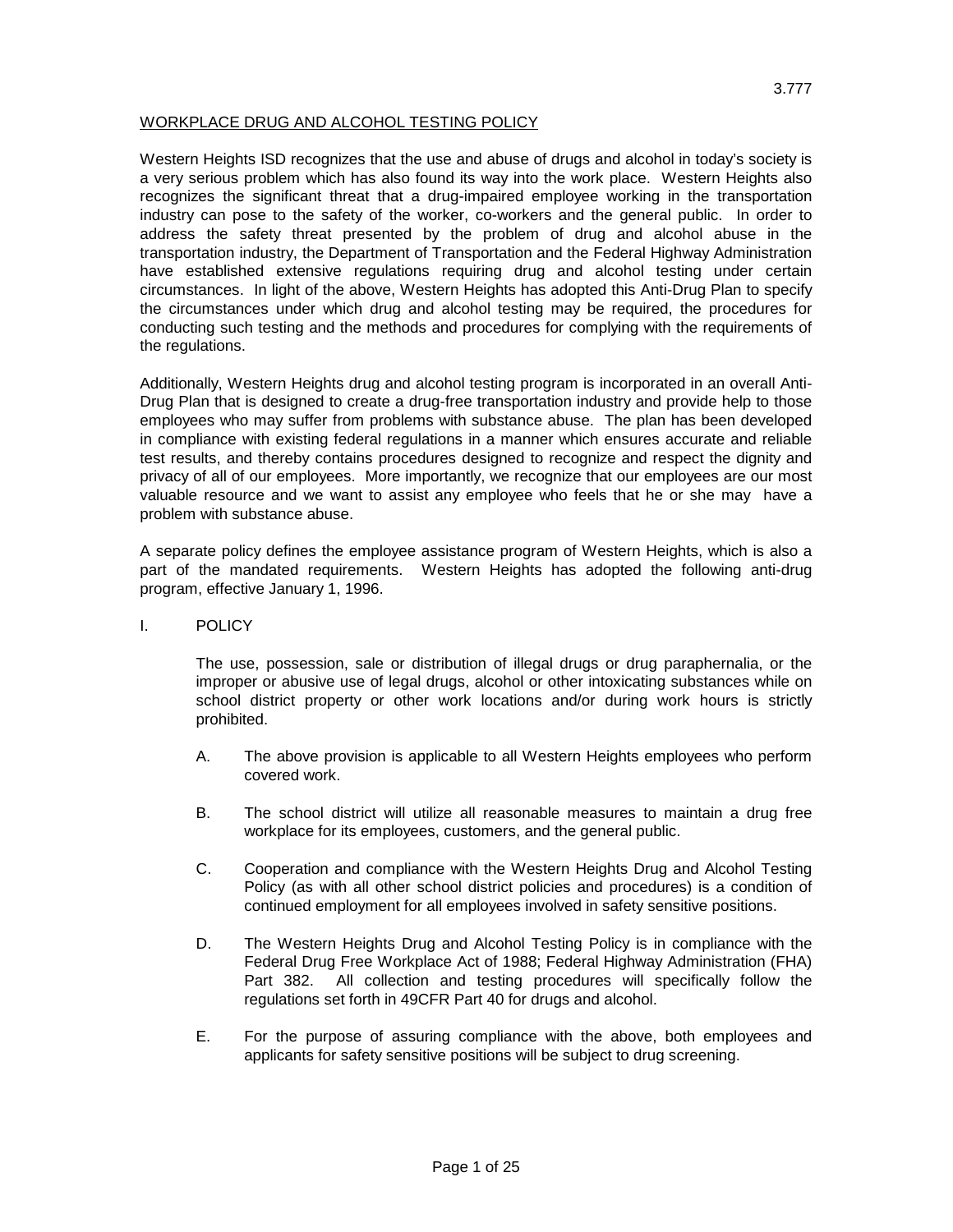## WORKPLACE DRUG AND ALCOHOL TESTING POLICY

Western Heights ISD recognizes that the use and abuse of drugs and alcohol in today's society is a very serious problem which has also found its way into the work place. Western Heights also recognizes the significant threat that a drug-impaired employee working in the transportation industry can pose to the safety of the worker, co-workers and the general public. In order to address the safety threat presented by the problem of drug and alcohol abuse in the transportation industry, the Department of Transportation and the Federal Highway Administration have established extensive regulations requiring drug and alcohol testing under certain circumstances. In light of the above, Western Heights has adopted this Anti-Drug Plan to specify the circumstances under which drug and alcohol testing may be required, the procedures for conducting such testing and the methods and procedures for complying with the requirements of the regulations.

Additionally, Western Heights drug and alcohol testing program is incorporated in an overall Anti-Drug Plan that is designed to create a drug-free transportation industry and provide help to those employees who may suffer from problems with substance abuse. The plan has been developed in compliance with existing federal regulations in a manner which ensures accurate and reliable test results, and thereby contains procedures designed to recognize and respect the dignity and privacy of all of our employees. More importantly, we recognize that our employees are our most valuable resource and we want to assist any employee who feels that he or she may have a problem with substance abuse.

A separate policy defines the employee assistance program of Western Heights, which is also a part of the mandated requirements. Western Heights has adopted the following anti-drug program, effective January 1, 1996.

I. POLICY

The use, possession, sale or distribution of illegal drugs or drug paraphernalia, or the improper or abusive use of legal drugs, alcohol or other intoxicating substances while on school district property or other work locations and/or during work hours is strictly prohibited.

- A. The above provision is applicable to all Western Heights employees who perform covered work.
- B. The school district will utilize all reasonable measures to maintain a drug free workplace for its employees, customers, and the general public.
- C. Cooperation and compliance with the Western Heights Drug and Alcohol Testing Policy (as with all other school district policies and procedures) is a condition of continued employment for all employees involved in safety sensitive positions.
- D. The Western Heights Drug and Alcohol Testing Policy is in compliance with the Federal Drug Free Workplace Act of 1988; Federal Highway Administration (FHA) Part 382. All collection and testing procedures will specifically follow the regulations set forth in 49CFR Part 40 for drugs and alcohol.
- E. For the purpose of assuring compliance with the above, both employees and applicants for safety sensitive positions will be subject to drug screening.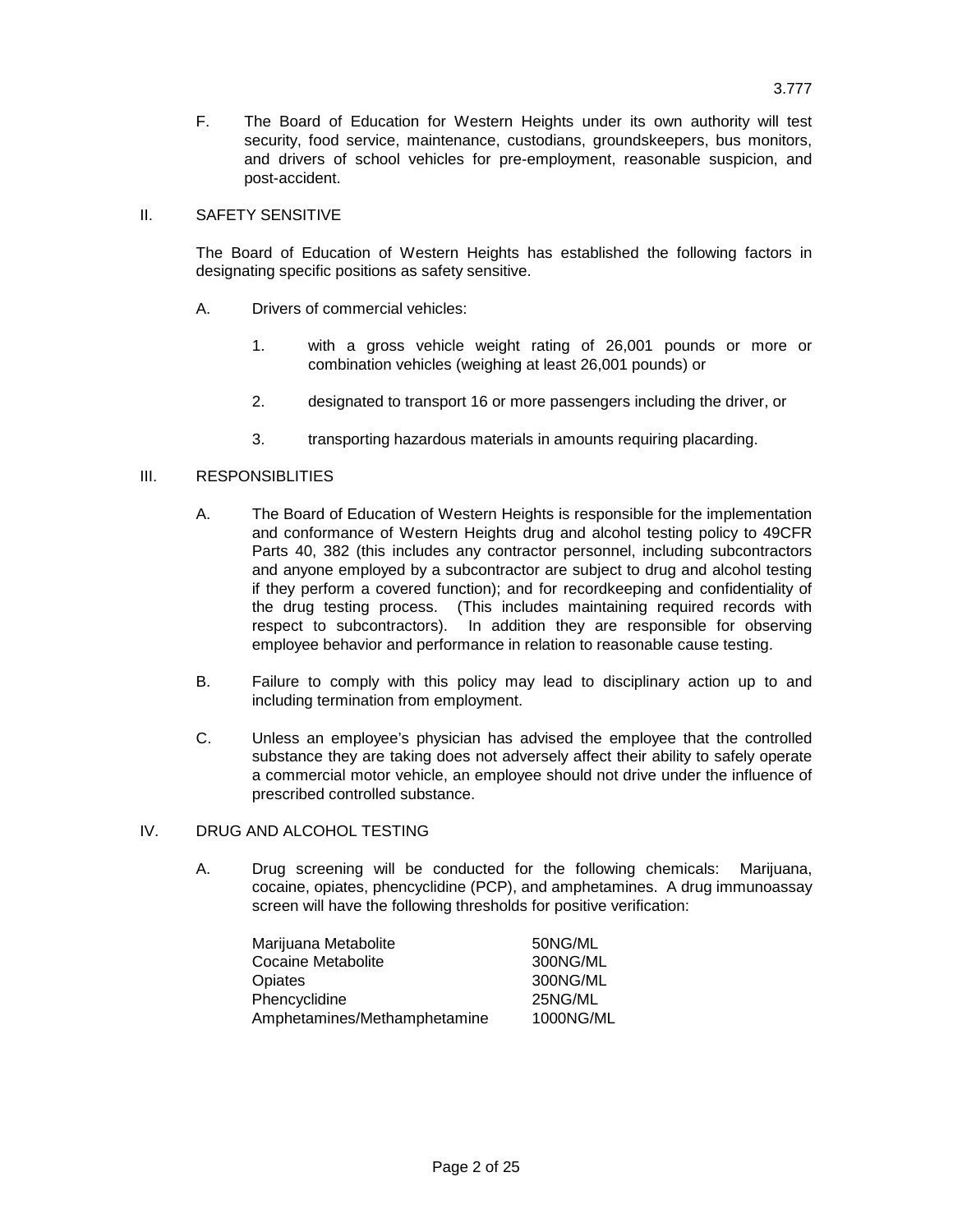F. The Board of Education for Western Heights under its own authority will test security, food service, maintenance, custodians, groundskeepers, bus monitors, and drivers of school vehicles for pre-employment, reasonable suspicion, and post-accident.

## II. SAFETY SENSITIVE

The Board of Education of Western Heights has established the following factors in designating specific positions as safety sensitive.

- A. Drivers of commercial vehicles:
	- 1. with a gross vehicle weight rating of 26,001 pounds or more or combination vehicles (weighing at least 26,001 pounds) or
	- 2. designated to transport 16 or more passengers including the driver, or
	- 3. transporting hazardous materials in amounts requiring placarding.

## III. RESPONSIBLITIES

- A. The Board of Education of Western Heights is responsible for the implementation and conformance of Western Heights drug and alcohol testing policy to 49CFR Parts 40, 382 (this includes any contractor personnel, including subcontractors and anyone employed by a subcontractor are subject to drug and alcohol testing if they perform a covered function); and for recordkeeping and confidentiality of the drug testing process. (This includes maintaining required records with respect to subcontractors). In addition they are responsible for observing employee behavior and performance in relation to reasonable cause testing.
- B. Failure to comply with this policy may lead to disciplinary action up to and including termination from employment.
- C. Unless an employee's physician has advised the employee that the controlled substance they are taking does not adversely affect their ability to safely operate a commercial motor vehicle, an employee should not drive under the influence of prescribed controlled substance.

### IV. DRUG AND ALCOHOL TESTING

A. Drug screening will be conducted for the following chemicals: Marijuana, cocaine, opiates, phencyclidine (PCP), and amphetamines. A drug immunoassay screen will have the following thresholds for positive verification:

| Marijuana Metabolite         | 50NG/ML   |
|------------------------------|-----------|
| <b>Cocaine Metabolite</b>    | 300NG/ML  |
| Opiates                      | 300NG/ML  |
| Phencyclidine                | 25NG/ML   |
| Amphetamines/Methamphetamine | 1000NG/ML |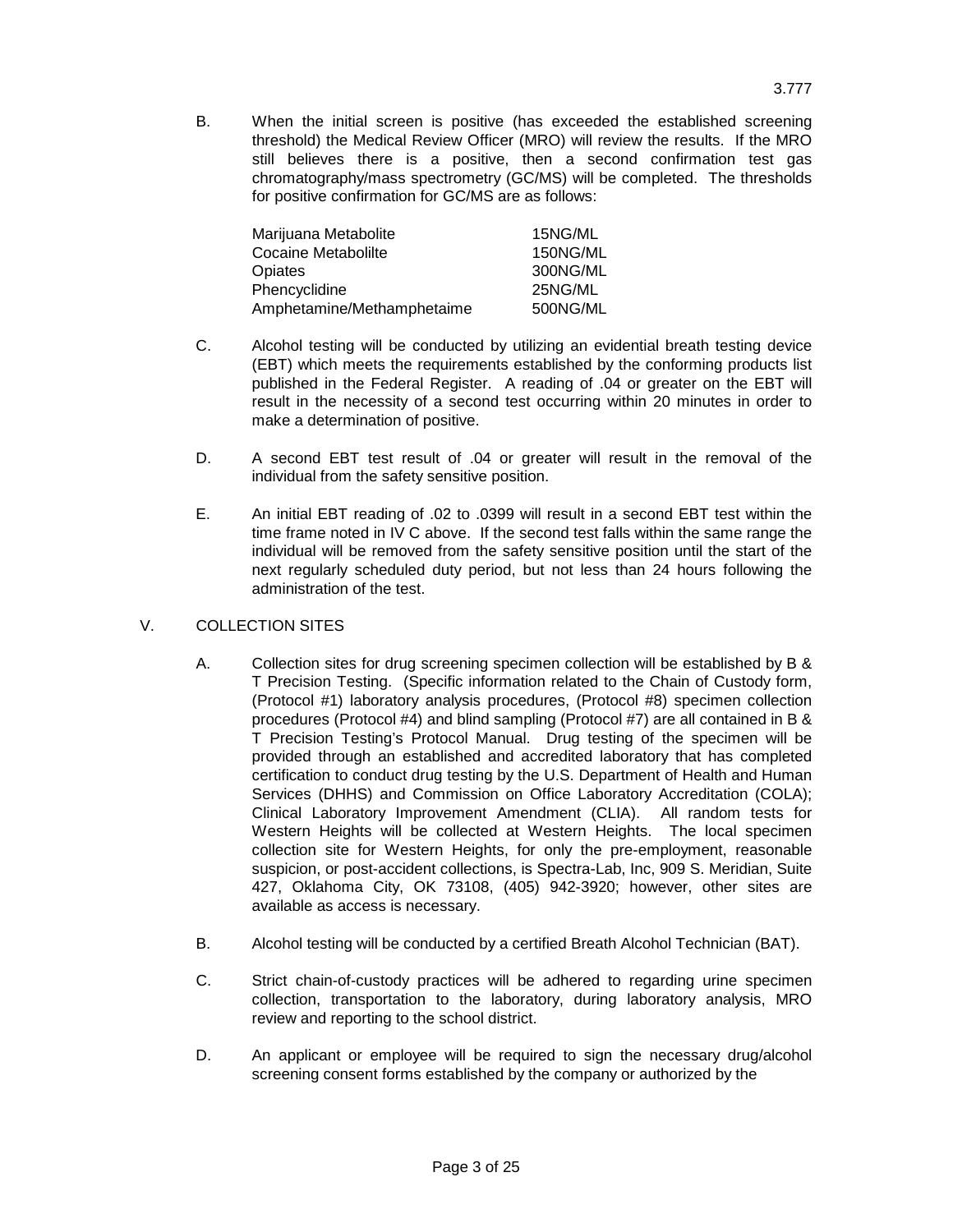B. When the initial screen is positive (has exceeded the established screening threshold) the Medical Review Officer (MRO) will review the results. If the MRO still believes there is a positive, then a second confirmation test gas chromatography/mass spectrometry (GC/MS) will be completed. The thresholds for positive confirmation for GC/MS are as follows:

| Marijuana Metabolite       | 15NG/ML  |
|----------------------------|----------|
| Cocaine Metabolilte        | 150NG/ML |
| Opiates                    | 300NG/ML |
| Phencyclidine              | 25NG/ML  |
| Amphetamine/Methamphetaime | 500NG/ML |

- C. Alcohol testing will be conducted by utilizing an evidential breath testing device (EBT) which meets the requirements established by the conforming products list published in the Federal Register. A reading of .04 or greater on the EBT will result in the necessity of a second test occurring within 20 minutes in order to make a determination of positive.
- D. A second EBT test result of .04 or greater will result in the removal of the individual from the safety sensitive position.
- E. An initial EBT reading of .02 to .0399 will result in a second EBT test within the time frame noted in IV C above. If the second test falls within the same range the individual will be removed from the safety sensitive position until the start of the next regularly scheduled duty period, but not less than 24 hours following the administration of the test.

## V. COLLECTION SITES

- A. Collection sites for drug screening specimen collection will be established by B & T Precision Testing. (Specific information related to the Chain of Custody form, (Protocol #1) laboratory analysis procedures, (Protocol #8) specimen collection procedures (Protocol #4) and blind sampling (Protocol #7) are all contained in B & T Precision Testing's Protocol Manual. Drug testing of the specimen will be provided through an established and accredited laboratory that has completed certification to conduct drug testing by the U.S. Department of Health and Human Services (DHHS) and Commission on Office Laboratory Accreditation (COLA); Clinical Laboratory Improvement Amendment (CLIA). All random tests for Western Heights will be collected at Western Heights. The local specimen collection site for Western Heights, for only the pre-employment, reasonable suspicion, or post-accident collections, is Spectra-Lab, Inc, 909 S. Meridian, Suite 427, Oklahoma City, OK 73108, (405) 942-3920; however, other sites are available as access is necessary.
- B. Alcohol testing will be conducted by a certified Breath Alcohol Technician (BAT).
- C. Strict chain-of-custody practices will be adhered to regarding urine specimen collection, transportation to the laboratory, during laboratory analysis, MRO review and reporting to the school district.
- D. An applicant or employee will be required to sign the necessary drug/alcohol screening consent forms established by the company or authorized by the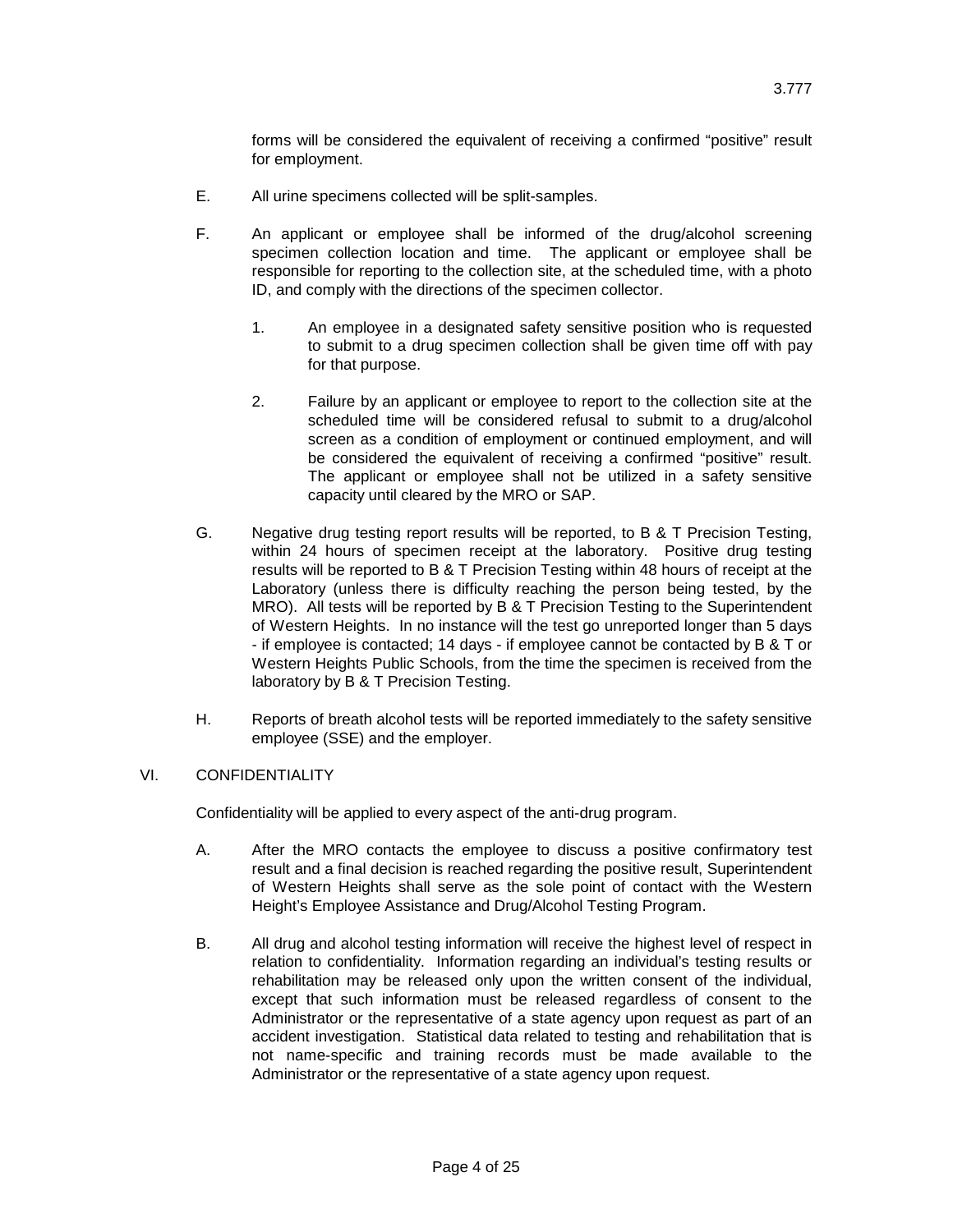forms will be considered the equivalent of receiving a confirmed "positive" result for employment.

- E. All urine specimens collected will be split-samples.
- F. An applicant or employee shall be informed of the drug/alcohol screening specimen collection location and time. The applicant or employee shall be responsible for reporting to the collection site, at the scheduled time, with a photo ID, and comply with the directions of the specimen collector.
	- 1. An employee in a designated safety sensitive position who is requested to submit to a drug specimen collection shall be given time off with pay for that purpose.
	- 2. Failure by an applicant or employee to report to the collection site at the scheduled time will be considered refusal to submit to a drug/alcohol screen as a condition of employment or continued employment, and will be considered the equivalent of receiving a confirmed "positive" result. The applicant or employee shall not be utilized in a safety sensitive capacity until cleared by the MRO or SAP.
- G. Negative drug testing report results will be reported, to B & T Precision Testing, within 24 hours of specimen receipt at the laboratory. Positive drug testing results will be reported to B & T Precision Testing within 48 hours of receipt at the Laboratory (unless there is difficulty reaching the person being tested, by the MRO). All tests will be reported by B & T Precision Testing to the Superintendent of Western Heights. In no instance will the test go unreported longer than 5 days - if employee is contacted; 14 days - if employee cannot be contacted by B & T or Western Heights Public Schools, from the time the specimen is received from the laboratory by B & T Precision Testing.
- H. Reports of breath alcohol tests will be reported immediately to the safety sensitive employee (SSE) and the employer.

## VI. CONFIDENTIALITY

Confidentiality will be applied to every aspect of the anti-drug program.

- A. After the MRO contacts the employee to discuss a positive confirmatory test result and a final decision is reached regarding the positive result, Superintendent of Western Heights shall serve as the sole point of contact with the Western Height's Employee Assistance and Drug/Alcohol Testing Program.
- B. All drug and alcohol testing information will receive the highest level of respect in relation to confidentiality. Information regarding an individual's testing results or rehabilitation may be released only upon the written consent of the individual, except that such information must be released regardless of consent to the Administrator or the representative of a state agency upon request as part of an accident investigation. Statistical data related to testing and rehabilitation that is not name-specific and training records must be made available to the Administrator or the representative of a state agency upon request.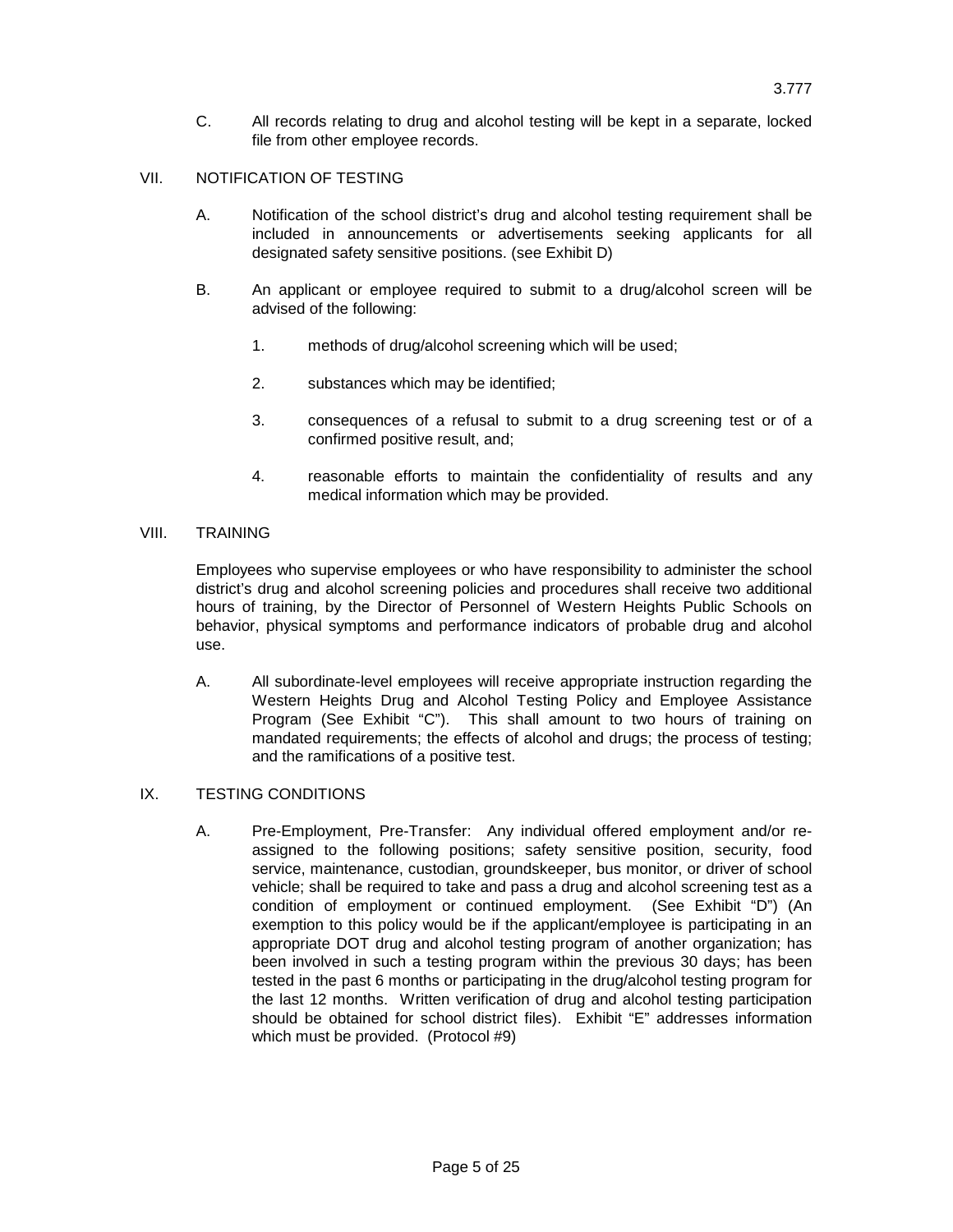C. All records relating to drug and alcohol testing will be kept in a separate, locked file from other employee records.

### VII. NOTIFICATION OF TESTING

- A. Notification of the school district's drug and alcohol testing requirement shall be included in announcements or advertisements seeking applicants for all designated safety sensitive positions. (see Exhibit D)
- B. An applicant or employee required to submit to a drug/alcohol screen will be advised of the following:
	- 1. methods of drug/alcohol screening which will be used;
	- 2. substances which may be identified;
	- 3. consequences of a refusal to submit to a drug screening test or of a confirmed positive result, and;
	- 4. reasonable efforts to maintain the confidentiality of results and any medical information which may be provided.

### VIII. TRAINING

Employees who supervise employees or who have responsibility to administer the school district's drug and alcohol screening policies and procedures shall receive two additional hours of training, by the Director of Personnel of Western Heights Public Schools on behavior, physical symptoms and performance indicators of probable drug and alcohol use.

A. All subordinate-level employees will receive appropriate instruction regarding the Western Heights Drug and Alcohol Testing Policy and Employee Assistance Program (See Exhibit "C"). This shall amount to two hours of training on mandated requirements; the effects of alcohol and drugs; the process of testing; and the ramifications of a positive test.

### IX. TESTING CONDITIONS

A. Pre-Employment, Pre-Transfer: Any individual offered employment and/or reassigned to the following positions; safety sensitive position, security, food service, maintenance, custodian, groundskeeper, bus monitor, or driver of school vehicle; shall be required to take and pass a drug and alcohol screening test as a condition of employment or continued employment. (See Exhibit "D") (An exemption to this policy would be if the applicant/employee is participating in an appropriate DOT drug and alcohol testing program of another organization; has been involved in such a testing program within the previous 30 days; has been tested in the past 6 months or participating in the drug/alcohol testing program for the last 12 months. Written verification of drug and alcohol testing participation should be obtained for school district files). Exhibit "E" addresses information which must be provided. (Protocol #9)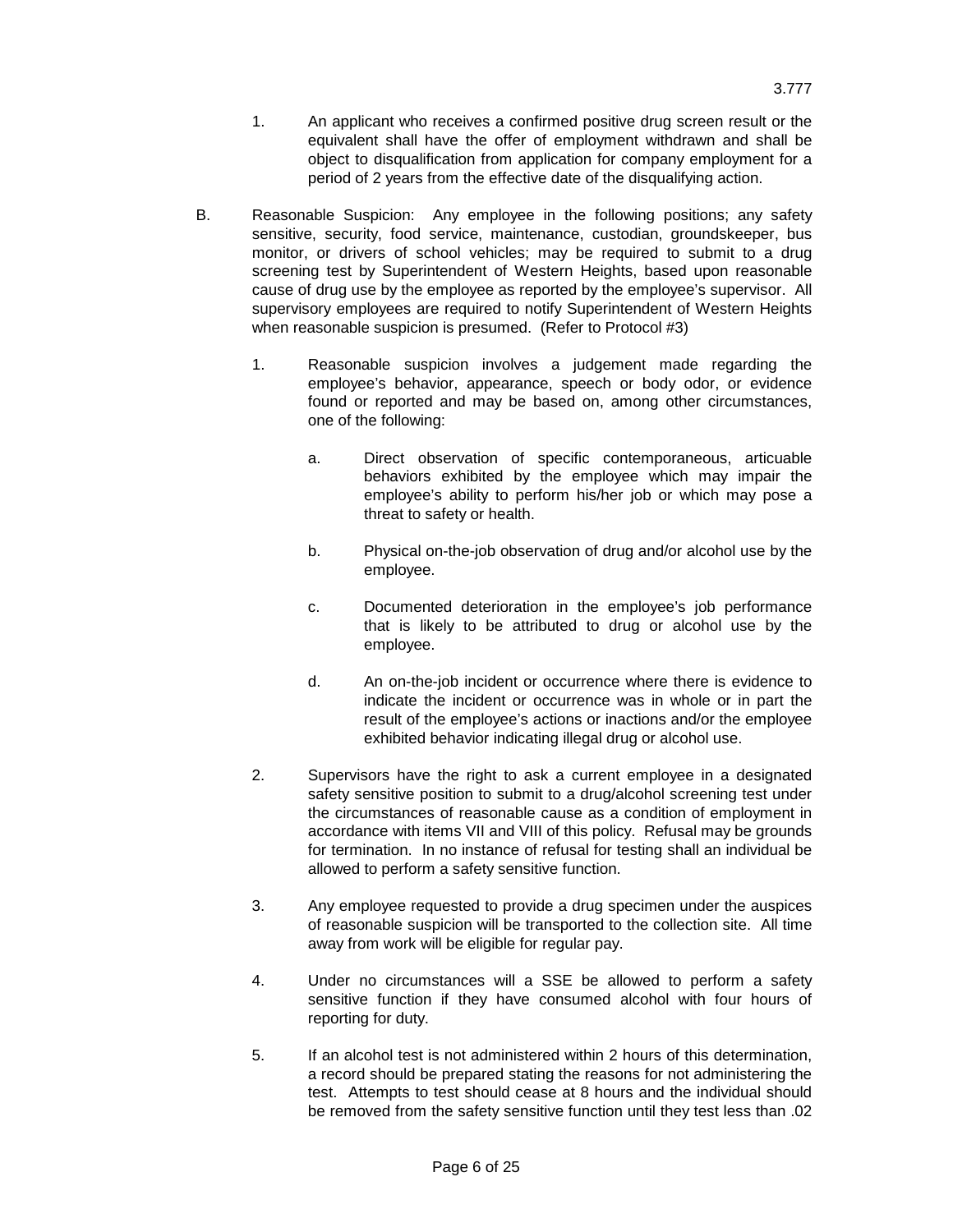- 1. An applicant who receives a confirmed positive drug screen result or the equivalent shall have the offer of employment withdrawn and shall be object to disqualification from application for company employment for a period of 2 years from the effective date of the disqualifying action.
- B. Reasonable Suspicion: Any employee in the following positions; any safety sensitive, security, food service, maintenance, custodian, groundskeeper, bus monitor, or drivers of school vehicles; may be required to submit to a drug screening test by Superintendent of Western Heights, based upon reasonable cause of drug use by the employee as reported by the employee's supervisor. All supervisory employees are required to notify Superintendent of Western Heights when reasonable suspicion is presumed. (Refer to Protocol #3)
	- 1. Reasonable suspicion involves a judgement made regarding the employee's behavior, appearance, speech or body odor, or evidence found or reported and may be based on, among other circumstances, one of the following:
		- a. Direct observation of specific contemporaneous, articuable behaviors exhibited by the employee which may impair the employee's ability to perform his/her job or which may pose a threat to safety or health.
		- b. Physical on-the-job observation of drug and/or alcohol use by the employee.
		- c. Documented deterioration in the employee's job performance that is likely to be attributed to drug or alcohol use by the employee.
		- d. An on-the-job incident or occurrence where there is evidence to indicate the incident or occurrence was in whole or in part the result of the employee's actions or inactions and/or the employee exhibited behavior indicating illegal drug or alcohol use.
	- 2. Supervisors have the right to ask a current employee in a designated safety sensitive position to submit to a drug/alcohol screening test under the circumstances of reasonable cause as a condition of employment in accordance with items VII and VIII of this policy. Refusal may be grounds for termination. In no instance of refusal for testing shall an individual be allowed to perform a safety sensitive function.
	- 3. Any employee requested to provide a drug specimen under the auspices of reasonable suspicion will be transported to the collection site. All time away from work will be eligible for regular pay.
	- 4. Under no circumstances will a SSE be allowed to perform a safety sensitive function if they have consumed alcohol with four hours of reporting for duty.
	- 5. If an alcohol test is not administered within 2 hours of this determination, a record should be prepared stating the reasons for not administering the test. Attempts to test should cease at 8 hours and the individual should be removed from the safety sensitive function until they test less than .02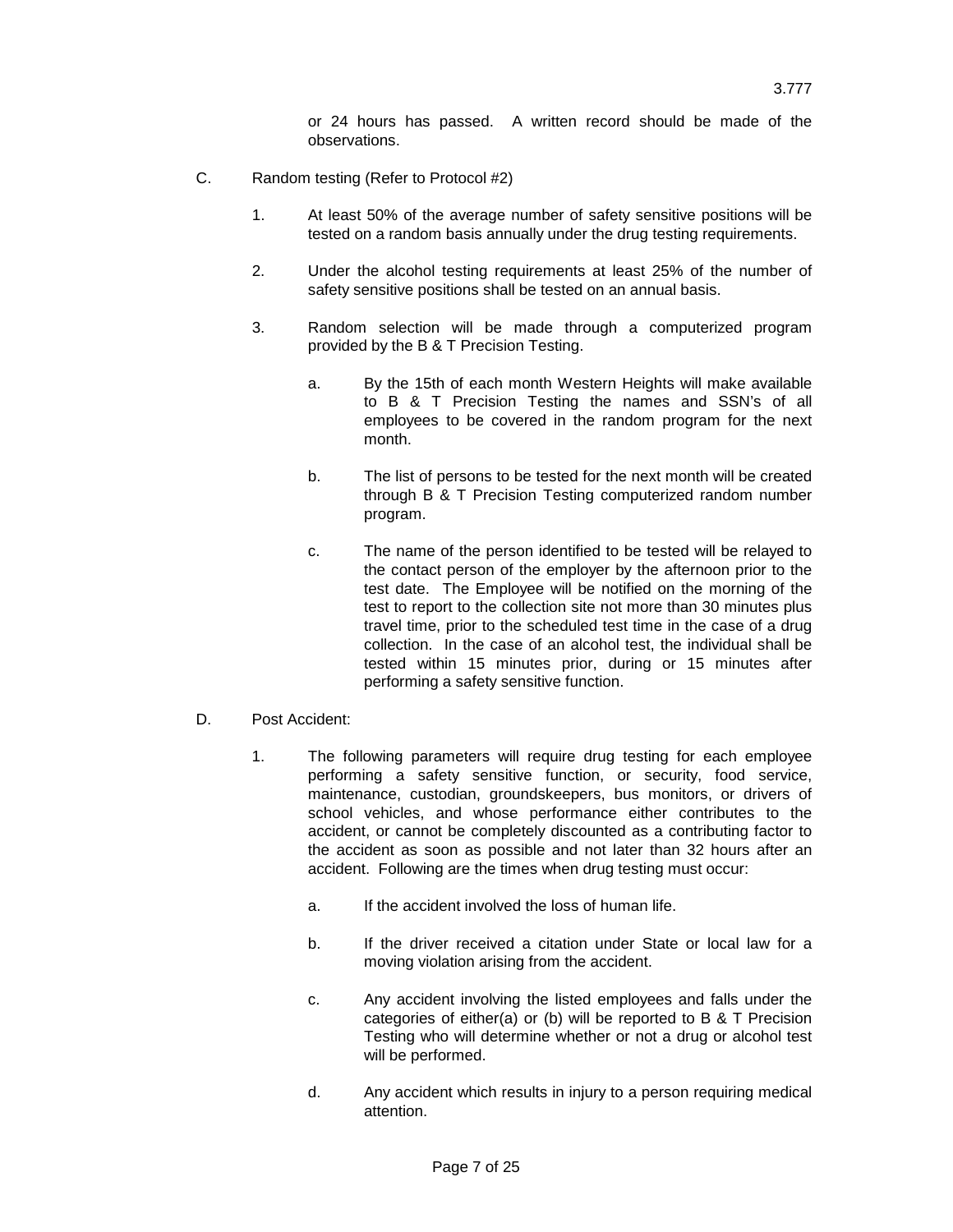or 24 hours has passed. A written record should be made of the observations.

- C. Random testing (Refer to Protocol #2)
	- 1. At least 50% of the average number of safety sensitive positions will be tested on a random basis annually under the drug testing requirements.
	- 2. Under the alcohol testing requirements at least 25% of the number of safety sensitive positions shall be tested on an annual basis.
	- 3. Random selection will be made through a computerized program provided by the B & T Precision Testing.
		- a. By the 15th of each month Western Heights will make available to B & T Precision Testing the names and SSN's of all employees to be covered in the random program for the next month.
		- b. The list of persons to be tested for the next month will be created through B & T Precision Testing computerized random number program.
		- c. The name of the person identified to be tested will be relayed to the contact person of the employer by the afternoon prior to the test date. The Employee will be notified on the morning of the test to report to the collection site not more than 30 minutes plus travel time, prior to the scheduled test time in the case of a drug collection. In the case of an alcohol test, the individual shall be tested within 15 minutes prior, during or 15 minutes after performing a safety sensitive function.
- D. Post Accident:
	- 1. The following parameters will require drug testing for each employee performing a safety sensitive function, or security, food service, maintenance, custodian, groundskeepers, bus monitors, or drivers of school vehicles, and whose performance either contributes to the accident, or cannot be completely discounted as a contributing factor to the accident as soon as possible and not later than 32 hours after an accident. Following are the times when drug testing must occur:
		- a. If the accident involved the loss of human life.
		- b. If the driver received a citation under State or local law for a moving violation arising from the accident.
		- c. Any accident involving the listed employees and falls under the categories of either(a) or (b) will be reported to B & T Precision Testing who will determine whether or not a drug or alcohol test will be performed.
		- d. Any accident which results in injury to a person requiring medical attention.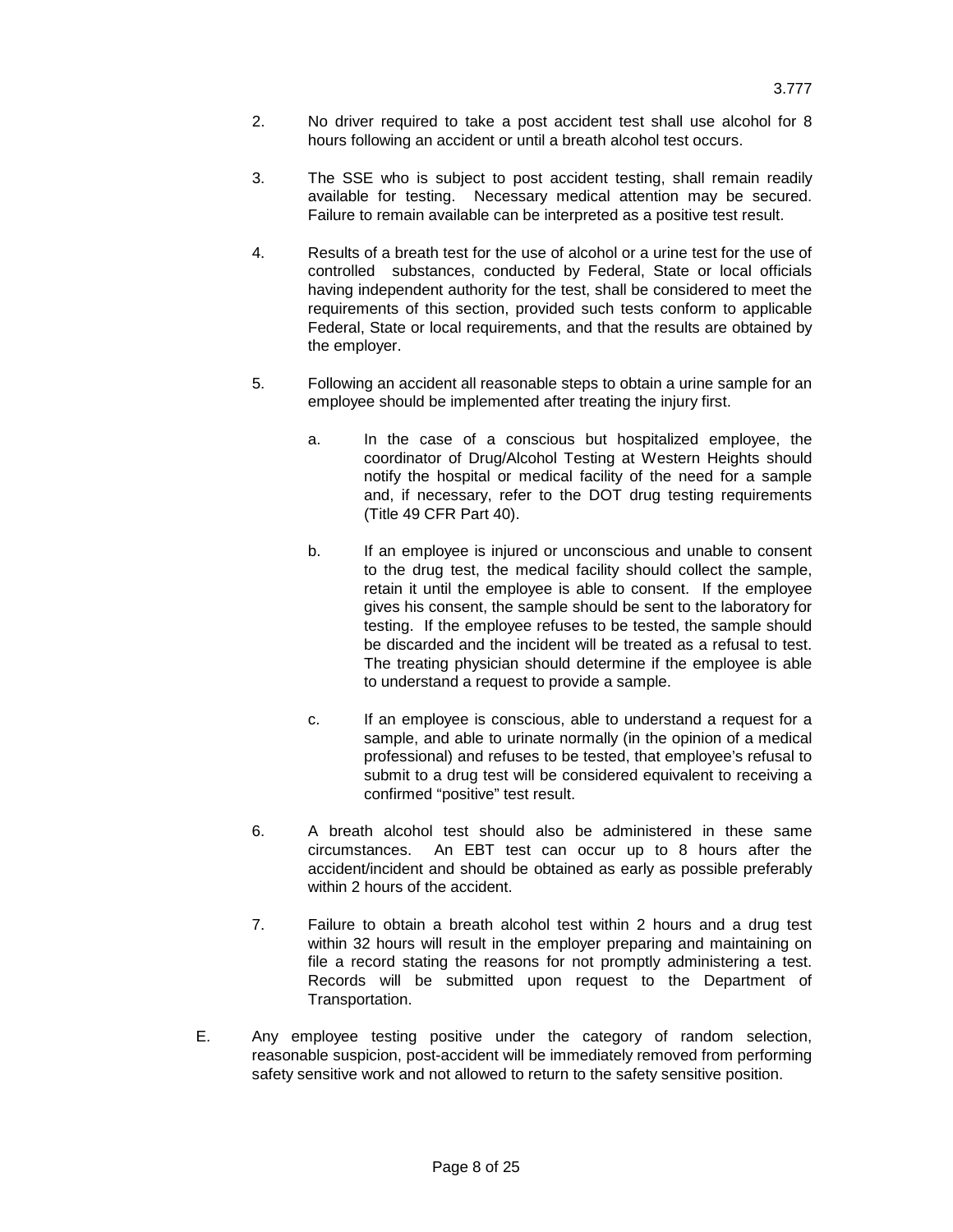- 2. No driver required to take a post accident test shall use alcohol for 8 hours following an accident or until a breath alcohol test occurs.
- 3. The SSE who is subject to post accident testing, shall remain readily available for testing. Necessary medical attention may be secured. Failure to remain available can be interpreted as a positive test result.
- 4. Results of a breath test for the use of alcohol or a urine test for the use of controlled substances, conducted by Federal, State or local officials having independent authority for the test, shall be considered to meet the requirements of this section, provided such tests conform to applicable Federal, State or local requirements, and that the results are obtained by the employer.
- 5. Following an accident all reasonable steps to obtain a urine sample for an employee should be implemented after treating the injury first.
	- a. In the case of a conscious but hospitalized employee, the coordinator of Drug/Alcohol Testing at Western Heights should notify the hospital or medical facility of the need for a sample and, if necessary, refer to the DOT drug testing requirements (Title 49 CFR Part 40).
	- b. If an employee is injured or unconscious and unable to consent to the drug test, the medical facility should collect the sample, retain it until the employee is able to consent. If the employee gives his consent, the sample should be sent to the laboratory for testing. If the employee refuses to be tested, the sample should be discarded and the incident will be treated as a refusal to test. The treating physician should determine if the employee is able to understand a request to provide a sample.
	- c. If an employee is conscious, able to understand a request for a sample, and able to urinate normally (in the opinion of a medical professional) and refuses to be tested, that employee's refusal to submit to a drug test will be considered equivalent to receiving a confirmed "positive" test result.
- 6. A breath alcohol test should also be administered in these same circumstances. An EBT test can occur up to 8 hours after the accident/incident and should be obtained as early as possible preferably within 2 hours of the accident.
- 7. Failure to obtain a breath alcohol test within 2 hours and a drug test within 32 hours will result in the employer preparing and maintaining on file a record stating the reasons for not promptly administering a test. Records will be submitted upon request to the Department of Transportation.
- E. Any employee testing positive under the category of random selection, reasonable suspicion, post-accident will be immediately removed from performing safety sensitive work and not allowed to return to the safety sensitive position.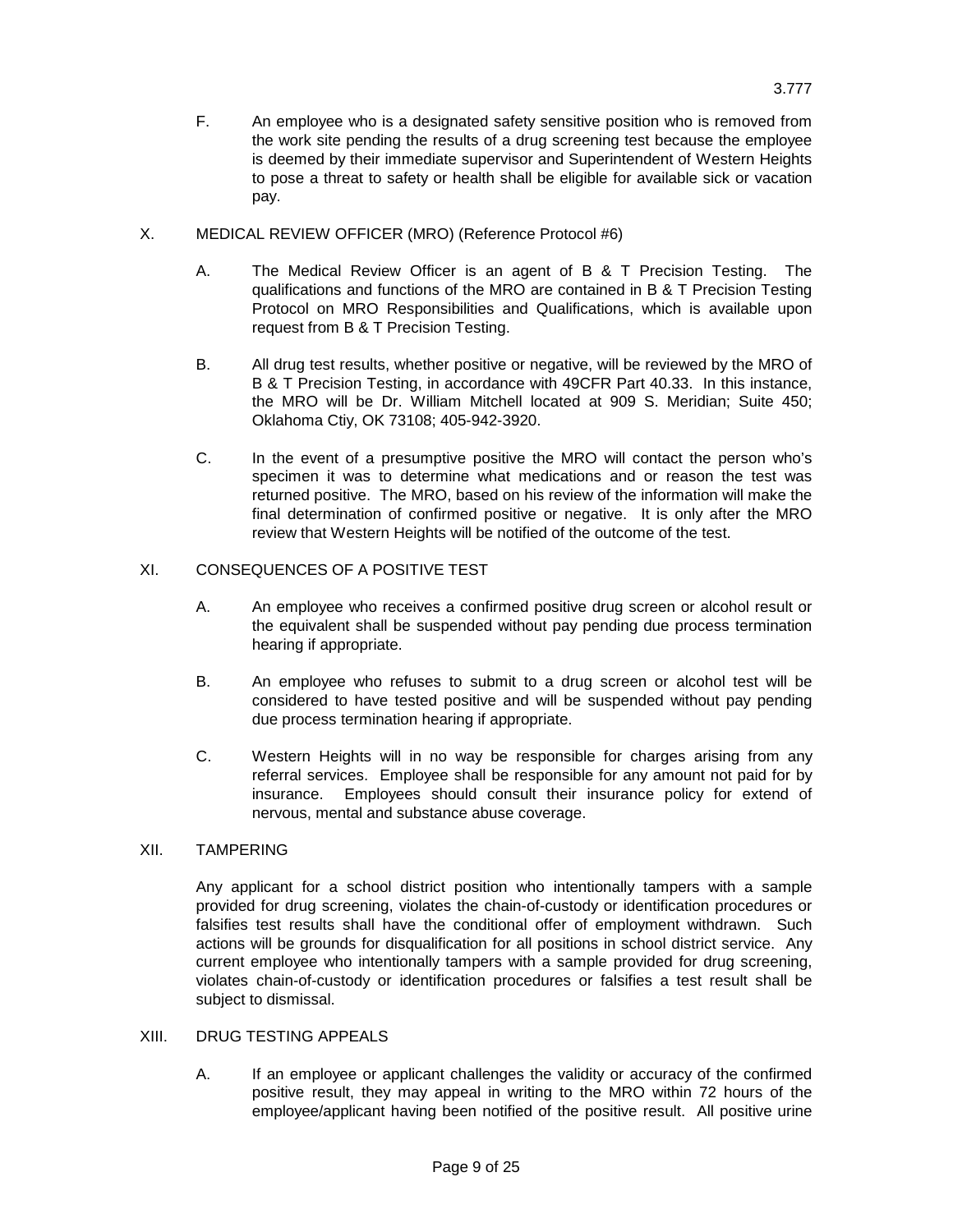- F. An employee who is a designated safety sensitive position who is removed from the work site pending the results of a drug screening test because the employee is deemed by their immediate supervisor and Superintendent of Western Heights to pose a threat to safety or health shall be eligible for available sick or vacation pay.
- X. MEDICAL REVIEW OFFICER (MRO) (Reference Protocol #6)
	- A. The Medical Review Officer is an agent of B & T Precision Testing. The qualifications and functions of the MRO are contained in B & T Precision Testing Protocol on MRO Responsibilities and Qualifications, which is available upon request from B & T Precision Testing.
	- B. All drug test results, whether positive or negative, will be reviewed by the MRO of B & T Precision Testing, in accordance with 49CFR Part 40.33. In this instance, the MRO will be Dr. William Mitchell located at 909 S. Meridian; Suite 450; Oklahoma Ctiy, OK 73108; 405-942-3920.
	- C. In the event of a presumptive positive the MRO will contact the person who's specimen it was to determine what medications and or reason the test was returned positive. The MRO, based on his review of the information will make the final determination of confirmed positive or negative. It is only after the MRO review that Western Heights will be notified of the outcome of the test.

## XI. CONSEQUENCES OF A POSITIVE TEST

- A. An employee who receives a confirmed positive drug screen or alcohol result or the equivalent shall be suspended without pay pending due process termination hearing if appropriate.
- B. An employee who refuses to submit to a drug screen or alcohol test will be considered to have tested positive and will be suspended without pay pending due process termination hearing if appropriate.
- C. Western Heights will in no way be responsible for charges arising from any referral services. Employee shall be responsible for any amount not paid for by insurance. Employees should consult their insurance policy for extend of nervous, mental and substance abuse coverage.

### XII. TAMPERING

Any applicant for a school district position who intentionally tampers with a sample provided for drug screening, violates the chain-of-custody or identification procedures or falsifies test results shall have the conditional offer of employment withdrawn. Such actions will be grounds for disqualification for all positions in school district service. Any current employee who intentionally tampers with a sample provided for drug screening, violates chain-of-custody or identification procedures or falsifies a test result shall be subject to dismissal.

### XIII. DRUG TESTING APPEALS

A. If an employee or applicant challenges the validity or accuracy of the confirmed positive result, they may appeal in writing to the MRO within 72 hours of the employee/applicant having been notified of the positive result. All positive urine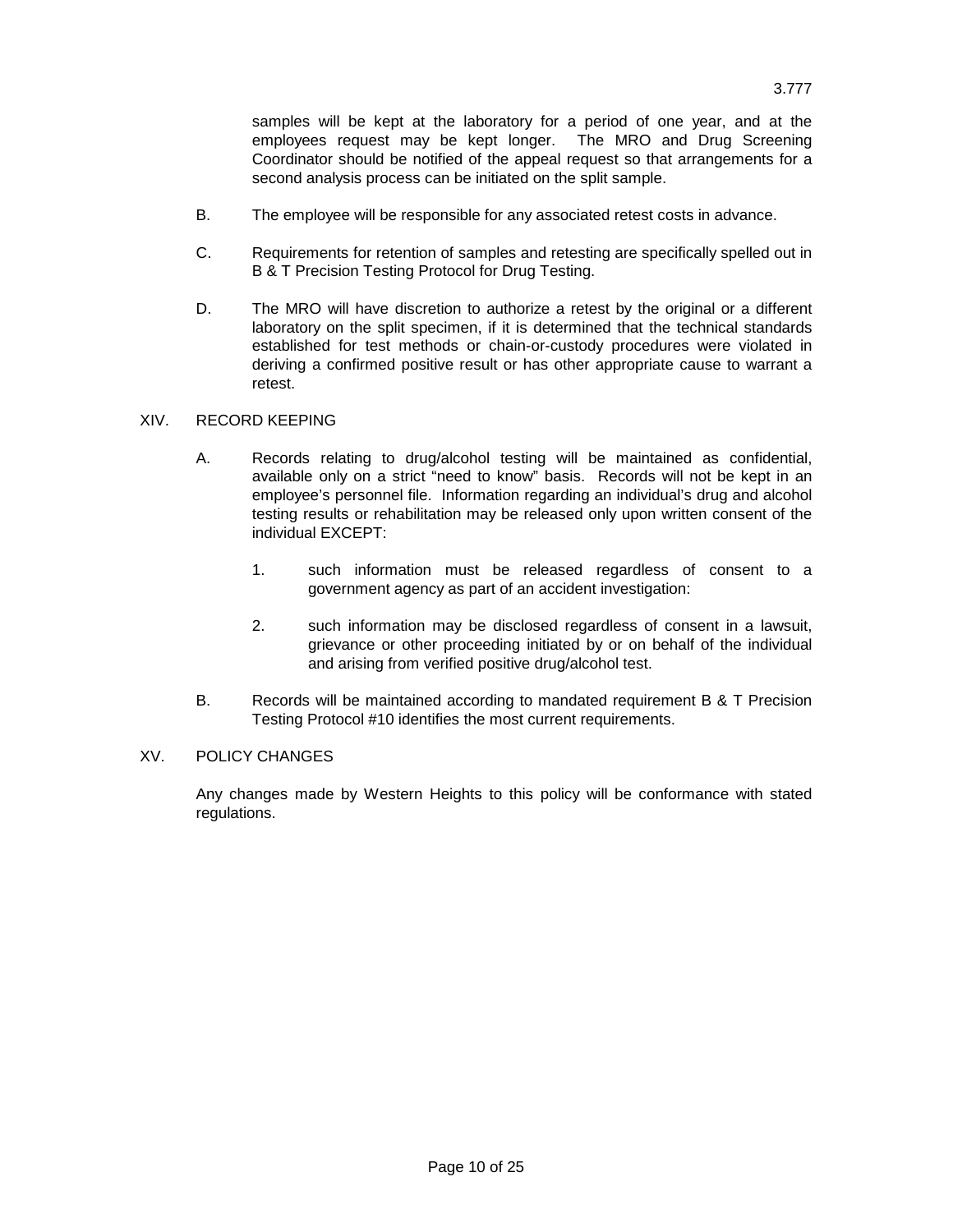samples will be kept at the laboratory for a period of one year, and at the employees request may be kept longer. The MRO and Drug Screening Coordinator should be notified of the appeal request so that arrangements for a second analysis process can be initiated on the split sample.

- B. The employee will be responsible for any associated retest costs in advance.
- C. Requirements for retention of samples and retesting are specifically spelled out in B & T Precision Testing Protocol for Drug Testing.
- D. The MRO will have discretion to authorize a retest by the original or a different laboratory on the split specimen, if it is determined that the technical standards established for test methods or chain-or-custody procedures were violated in deriving a confirmed positive result or has other appropriate cause to warrant a retest.

### XIV. RECORD KEEPING

- A. Records relating to drug/alcohol testing will be maintained as confidential, available only on a strict "need to know" basis. Records will not be kept in an employee's personnel file. Information regarding an individual's drug and alcohol testing results or rehabilitation may be released only upon written consent of the individual EXCEPT:
	- 1. such information must be released regardless of consent to a government agency as part of an accident investigation:
	- 2. such information may be disclosed regardless of consent in a lawsuit, grievance or other proceeding initiated by or on behalf of the individual and arising from verified positive drug/alcohol test.
- B. Records will be maintained according to mandated requirement B & T Precision Testing Protocol #10 identifies the most current requirements.

### XV. POLICY CHANGES

Any changes made by Western Heights to this policy will be conformance with stated regulations.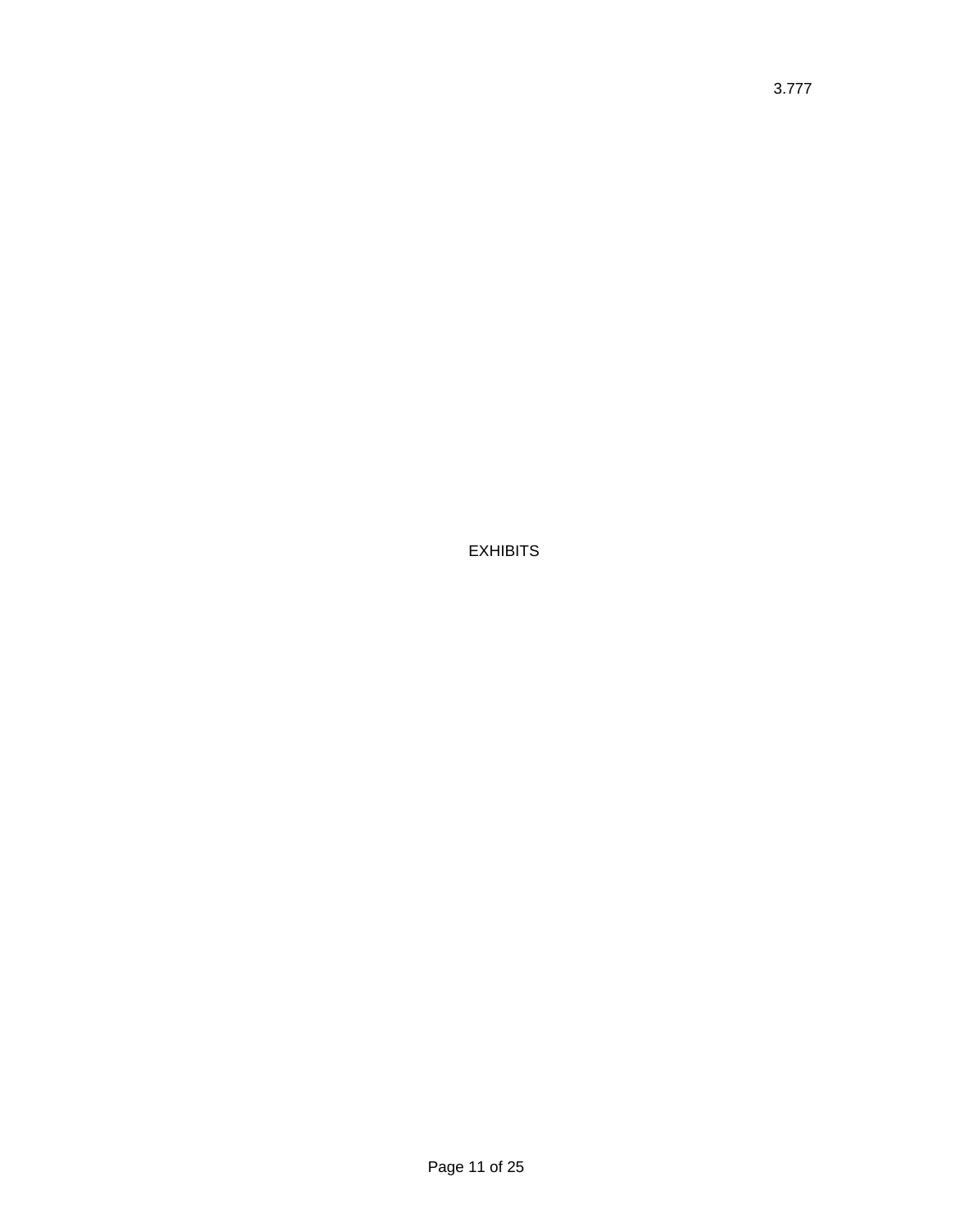EXHIBITS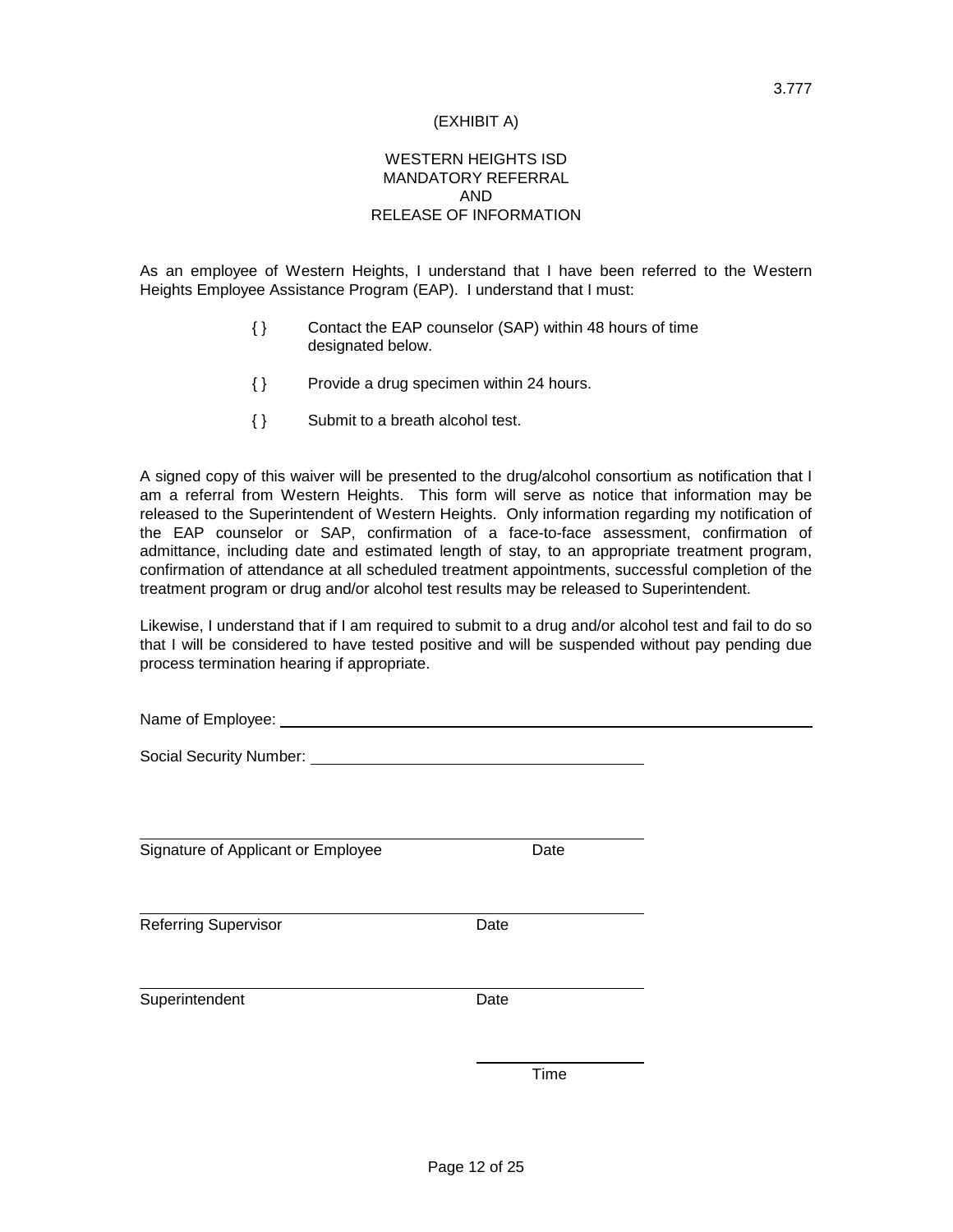### (EXHIBIT A)

## WESTERN HEIGHTS ISD MANDATORY REFERRAL AND RELEASE OF INFORMATION

As an employee of Western Heights, I understand that I have been referred to the Western Heights Employee Assistance Program (EAP). I understand that I must:

- { } Contact the EAP counselor (SAP) within 48 hours of time designated below.
- { } Provide a drug specimen within 24 hours.
- { } Submit to a breath alcohol test.

A signed copy of this waiver will be presented to the drug/alcohol consortium as notification that I am a referral from Western Heights. This form will serve as notice that information may be released to the Superintendent of Western Heights. Only information regarding my notification of the EAP counselor or SAP, confirmation of a face-to-face assessment, confirmation of admittance, including date and estimated length of stay, to an appropriate treatment program, confirmation of attendance at all scheduled treatment appointments, successful completion of the treatment program or drug and/or alcohol test results may be released to Superintendent.

Likewise, I understand that if I am required to submit to a drug and/or alcohol test and fail to do so that I will be considered to have tested positive and will be suspended without pay pending due process termination hearing if appropriate.

| Name of Employee: |  |
|-------------------|--|
|                   |  |

Social Security Number: University of the Social Security Number:

Signature of Applicant or Employee Date

Referring Supervisor **Date** 

Superintendent Date

Time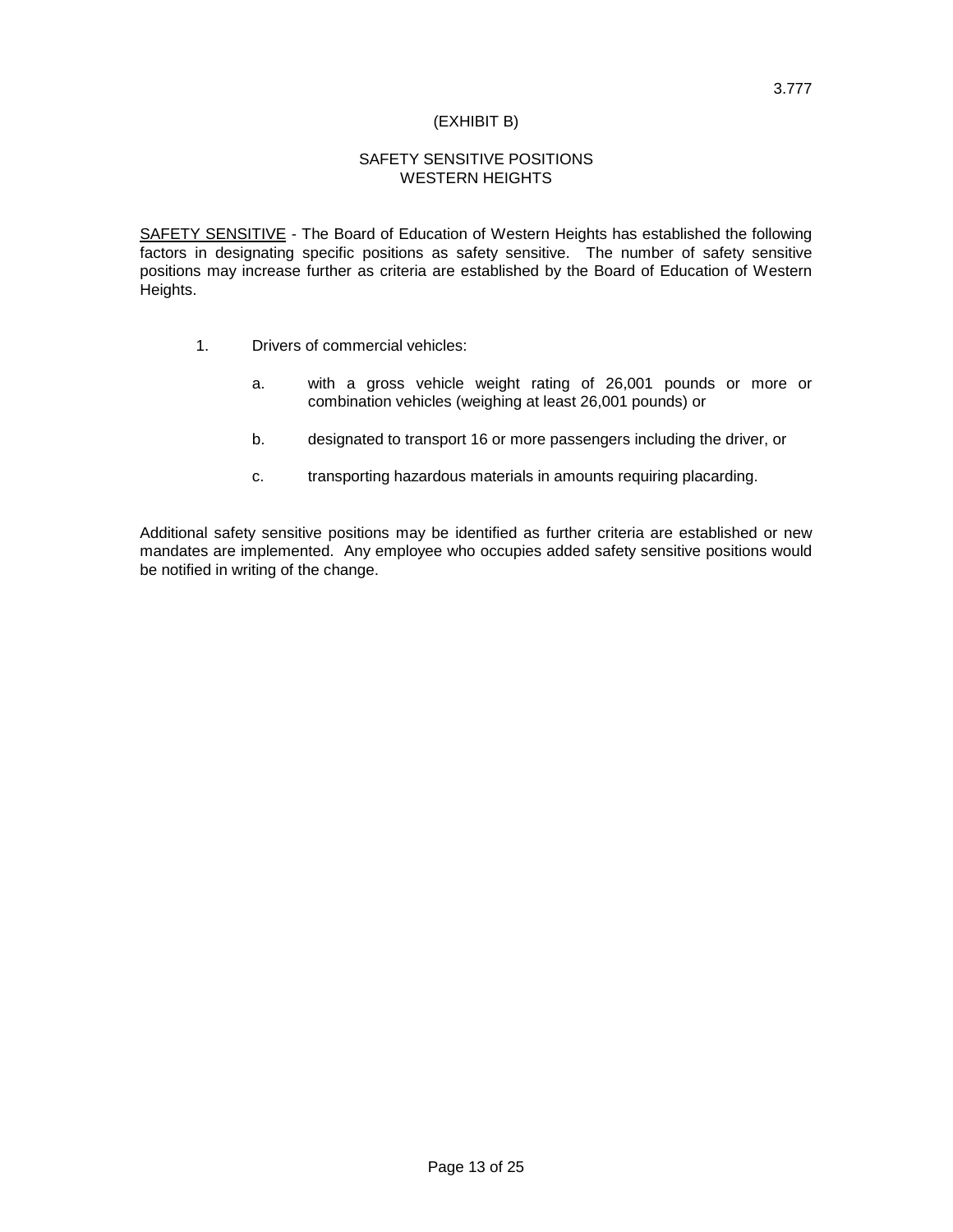### (EXHIBIT B)

## SAFETY SENSITIVE POSITIONS WESTERN HEIGHTS

SAFETY SENSITIVE - The Board of Education of Western Heights has established the following factors in designating specific positions as safety sensitive. The number of safety sensitive positions may increase further as criteria are established by the Board of Education of Western Heights.

- 1. Drivers of commercial vehicles:
	- a. with a gross vehicle weight rating of 26,001 pounds or more or combination vehicles (weighing at least 26,001 pounds) or
	- b. designated to transport 16 or more passengers including the driver, or
	- c. transporting hazardous materials in amounts requiring placarding.

Additional safety sensitive positions may be identified as further criteria are established or new mandates are implemented. Any employee who occupies added safety sensitive positions would be notified in writing of the change.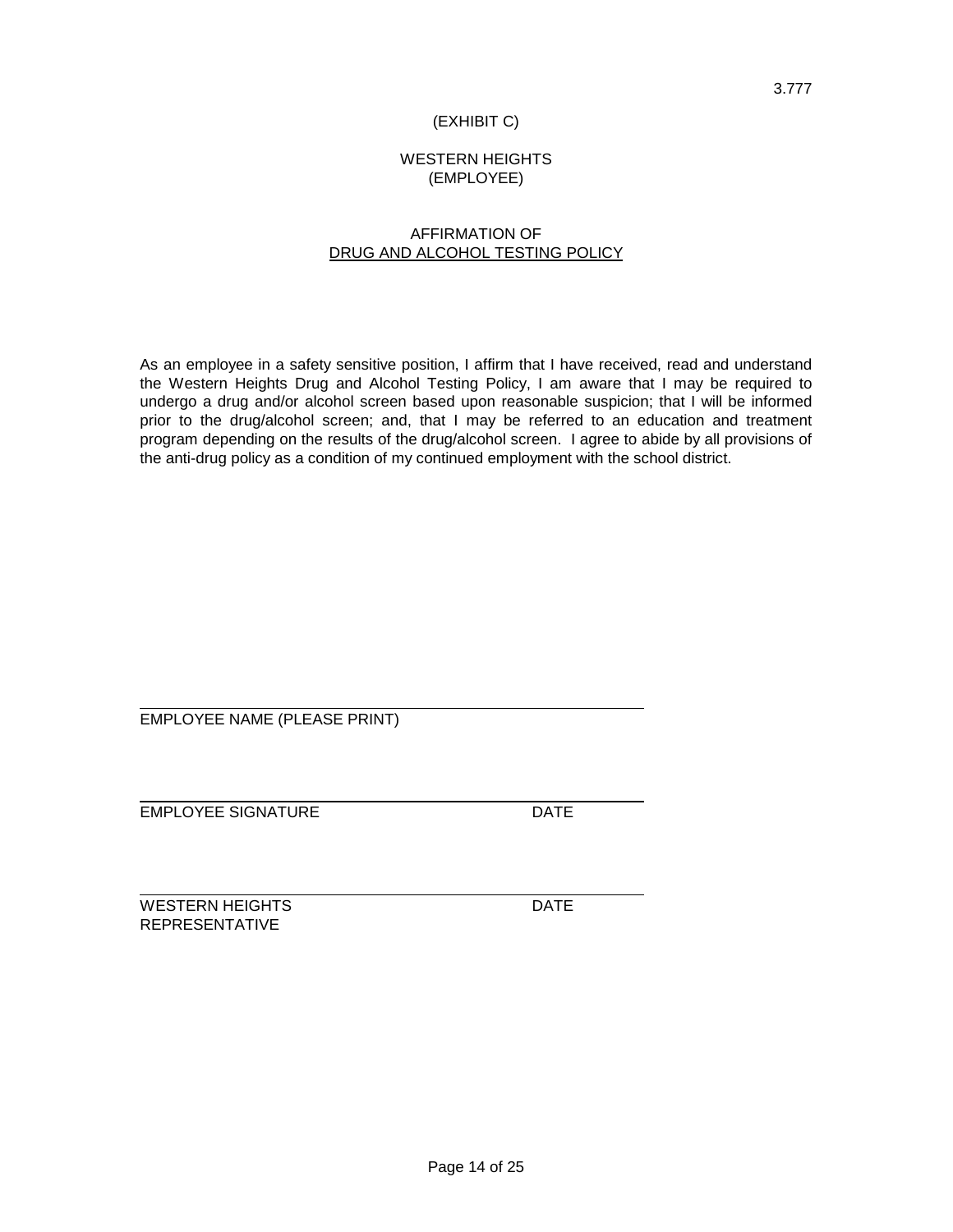## (EXHIBIT C)

## WESTERN HEIGHTS (EMPLOYEE)

## AFFIRMATION OF DRUG AND ALCOHOL TESTING POLICY

As an employee in a safety sensitive position, I affirm that I have received, read and understand the Western Heights Drug and Alcohol Testing Policy, I am aware that I may be required to undergo a drug and/or alcohol screen based upon reasonable suspicion; that I will be informed prior to the drug/alcohol screen; and, that I may be referred to an education and treatment program depending on the results of the drug/alcohol screen. I agree to abide by all provisions of the anti-drug policy as a condition of my continued employment with the school district.

EMPLOYEE NAME (PLEASE PRINT)

EMPLOYEE SIGNATURE DATE

WESTERN HEIGHTS DATE REPRESENTATIVE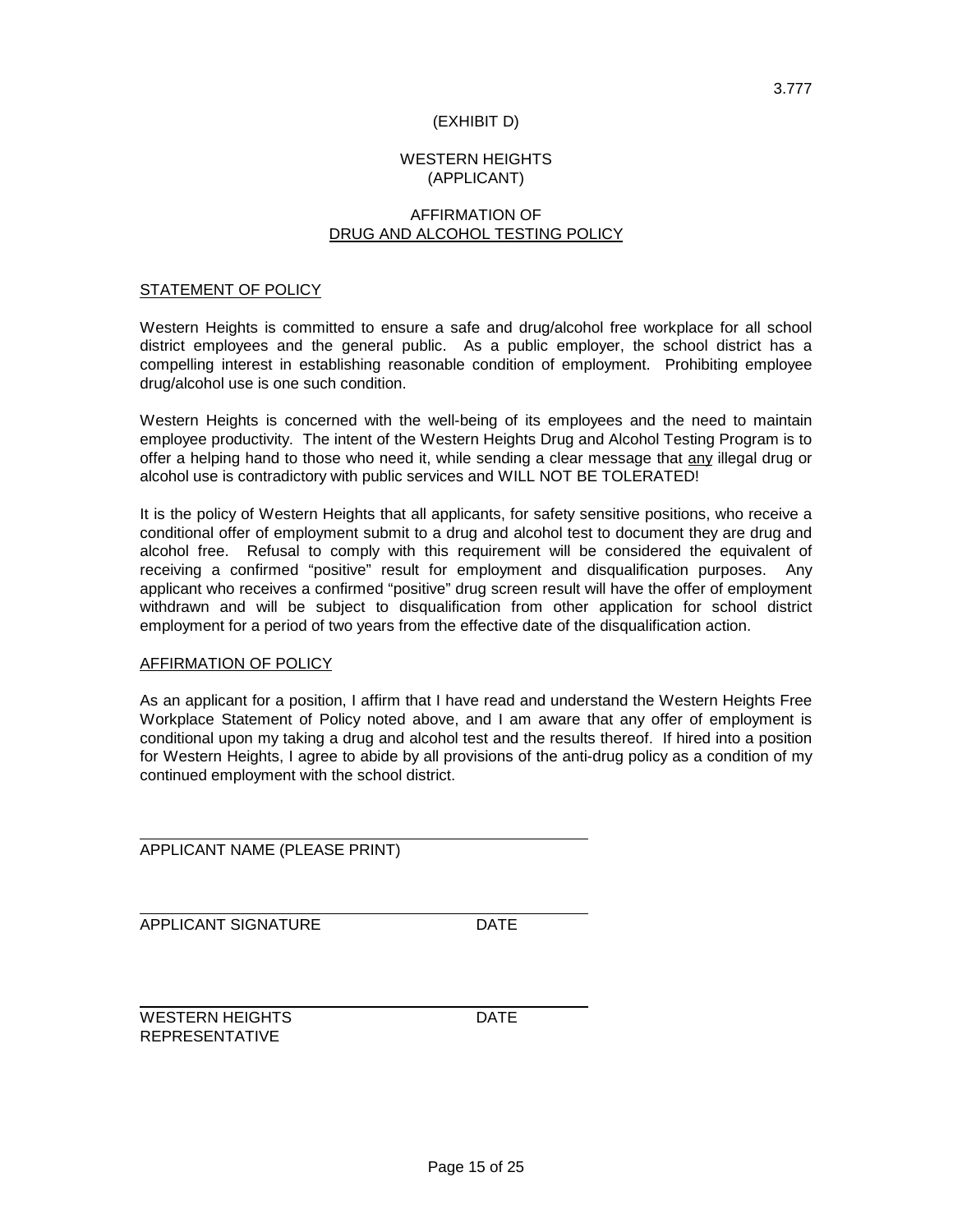## WESTERN HEIGHTS (APPLICANT)

(EXHIBIT D)

## AFFIRMATION OF DRUG AND ALCOHOL TESTING POLICY

### STATEMENT OF POLICY

Western Heights is committed to ensure a safe and drug/alcohol free workplace for all school district employees and the general public. As a public employer, the school district has a compelling interest in establishing reasonable condition of employment. Prohibiting employee drug/alcohol use is one such condition.

Western Heights is concerned with the well-being of its employees and the need to maintain employee productivity. The intent of the Western Heights Drug and Alcohol Testing Program is to offer a helping hand to those who need it, while sending a clear message that any illegal drug or alcohol use is contradictory with public services and WILL NOT BE TOLERATED!

It is the policy of Western Heights that all applicants, for safety sensitive positions, who receive a conditional offer of employment submit to a drug and alcohol test to document they are drug and alcohol free. Refusal to comply with this requirement will be considered the equivalent of receiving a confirmed "positive" result for employment and disqualification purposes. Any applicant who receives a confirmed "positive" drug screen result will have the offer of employment withdrawn and will be subject to disqualification from other application for school district employment for a period of two years from the effective date of the disqualification action.

### AFFIRMATION OF POLICY

As an applicant for a position, I affirm that I have read and understand the Western Heights Free Workplace Statement of Policy noted above, and I am aware that any offer of employment is conditional upon my taking a drug and alcohol test and the results thereof. If hired into a position for Western Heights, I agree to abide by all provisions of the anti-drug policy as a condition of my continued employment with the school district.

APPLICANT NAME (PLEASE PRINT)

APPLICANT SIGNATURE DATE

WESTERN HEIGHTS **DATE** REPRESENTATIVE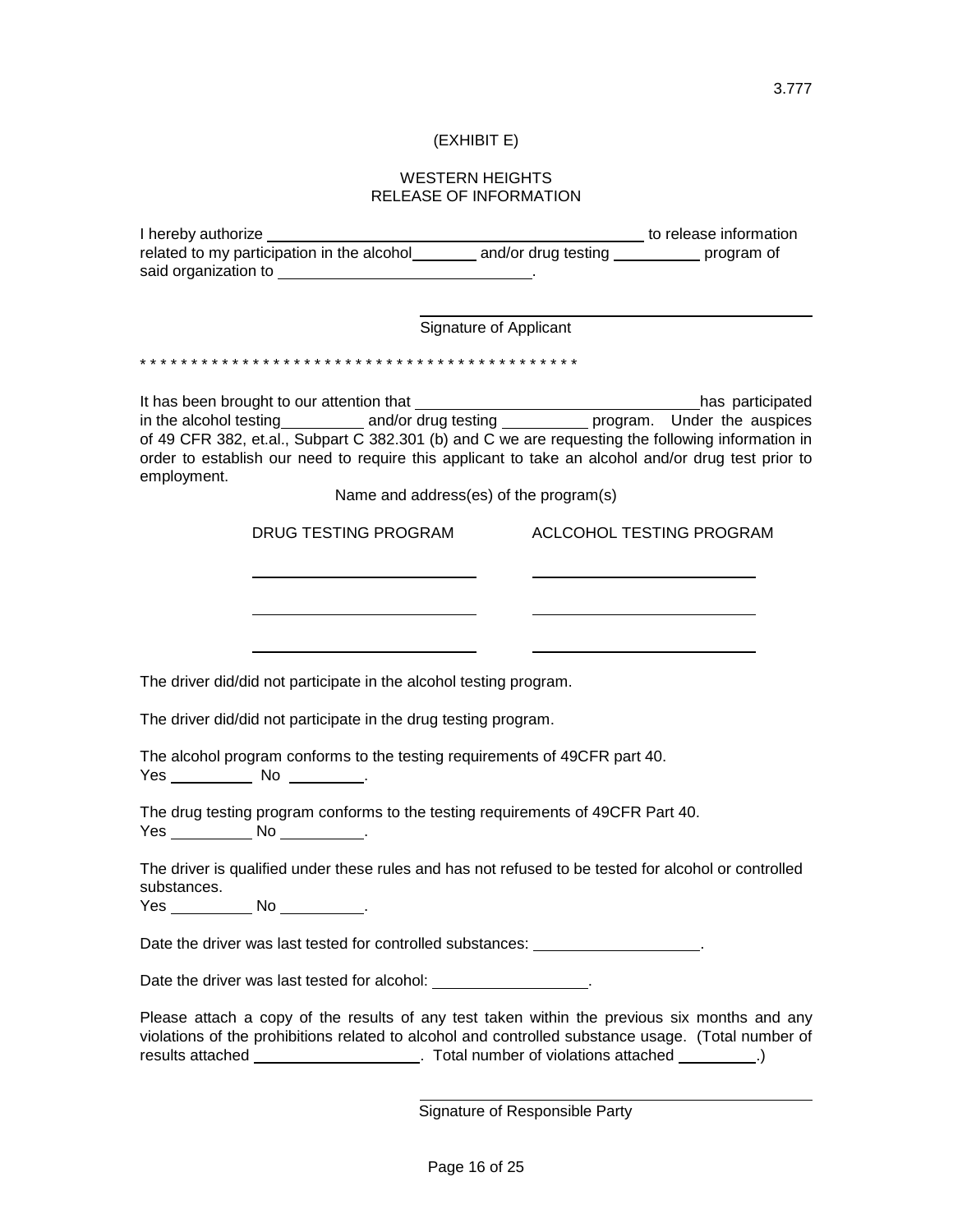# (EXHIBIT E)

### WESTERN HEIGHTS RELEASE OF INFORMATION

|                                                                                                                                                                                                         | Signature of Applicant                 |                          |  |
|---------------------------------------------------------------------------------------------------------------------------------------------------------------------------------------------------------|----------------------------------------|--------------------------|--|
|                                                                                                                                                                                                         |                                        |                          |  |
|                                                                                                                                                                                                         |                                        |                          |  |
|                                                                                                                                                                                                         |                                        |                          |  |
| in the alcohol testing ____________ and/or drug testing _____________ program. Under the auspices                                                                                                       |                                        |                          |  |
| of 49 CFR 382, et.al., Subpart C 382.301 (b) and C we are requesting the following information in<br>order to establish our need to require this applicant to take an alcohol and/or drug test prior to |                                        |                          |  |
| employment.                                                                                                                                                                                             |                                        |                          |  |
|                                                                                                                                                                                                         | Name and address(es) of the program(s) |                          |  |
| DRUG TESTING PROGRAM                                                                                                                                                                                    |                                        | ACLCOHOL TESTING PROGRAM |  |
|                                                                                                                                                                                                         |                                        |                          |  |
|                                                                                                                                                                                                         |                                        |                          |  |
|                                                                                                                                                                                                         |                                        |                          |  |
|                                                                                                                                                                                                         |                                        |                          |  |
| The driver did/did not participate in the alcohol testing program.                                                                                                                                      |                                        |                          |  |
|                                                                                                                                                                                                         |                                        |                          |  |
| The driver did/did not participate in the drug testing program.                                                                                                                                         |                                        |                          |  |
| The alcohol program conforms to the testing requirements of 49CFR part 40.                                                                                                                              |                                        |                          |  |
| Yes _____________ No ___________.                                                                                                                                                                       |                                        |                          |  |
| The drug testing program conforms to the testing requirements of 49CFR Part 40.                                                                                                                         |                                        |                          |  |
| Yes _______________ No _____________.                                                                                                                                                                   |                                        |                          |  |
| The driver is qualified under these rules and has not refused to be tested for alcohol or controlled<br>substances.                                                                                     |                                        |                          |  |
| Yes ______________ No _____________.                                                                                                                                                                    |                                        |                          |  |
| Date the driver was last tested for controlled substances: _____________________                                                                                                                        |                                        |                          |  |
|                                                                                                                                                                                                         |                                        |                          |  |
| Date the driver was last tested for alcohol: __________________.                                                                                                                                        |                                        |                          |  |
| Please attach a copy of the results of any test taken within the previous six months and any                                                                                                            |                                        |                          |  |
| violations of the prohibitions related to alcohol and controlled substance usage. (Total number of<br>results attached _______________________. Total number of violations attached _________.)         |                                        |                          |  |
|                                                                                                                                                                                                         |                                        |                          |  |
|                                                                                                                                                                                                         | Signature of Responsible Party         |                          |  |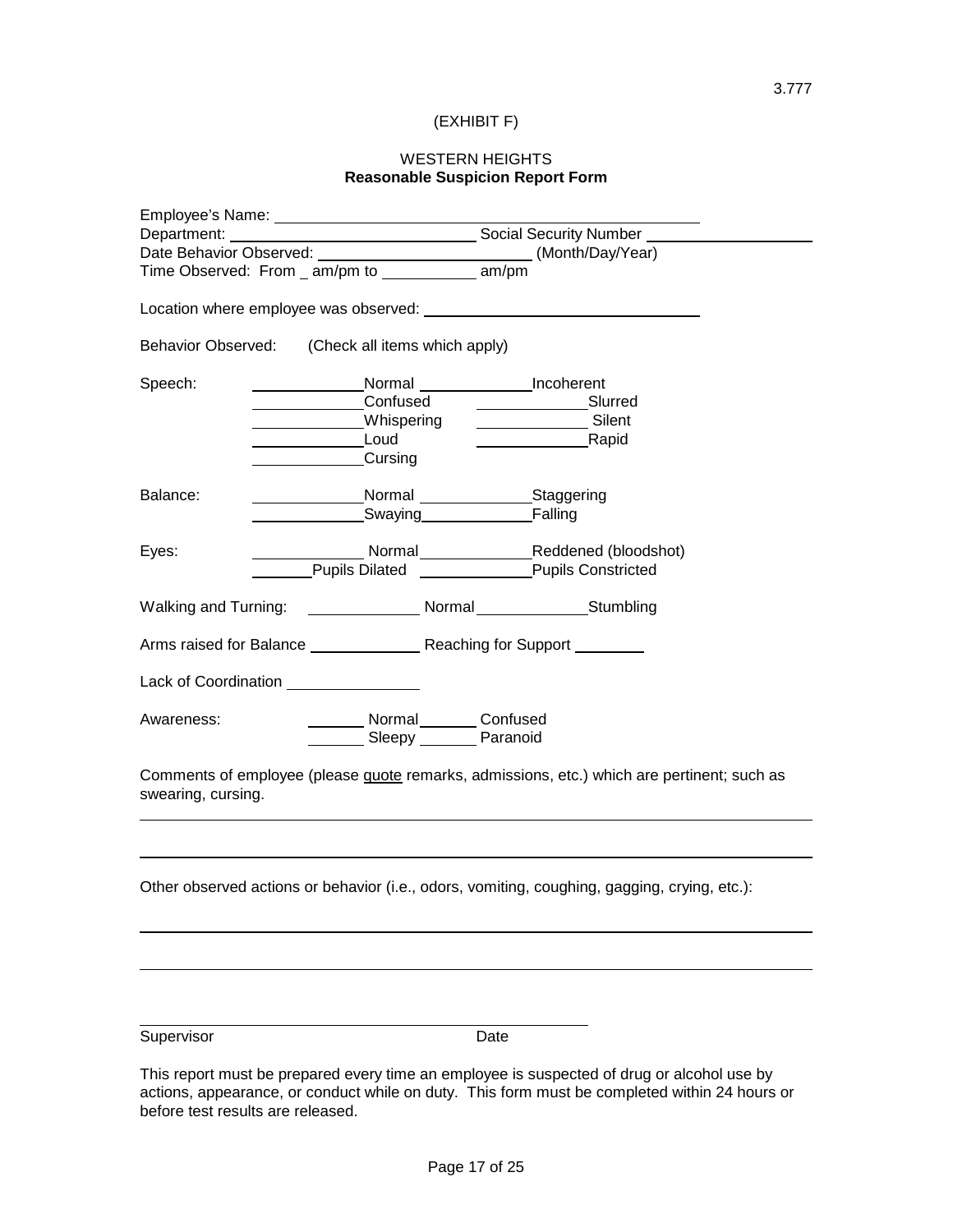# (EXHIBIT F)

## WESTERN HEIGHTS **Reasonable Suspicion Report Form**

|                                               | Date Behavior Observed: (Month/Day/Year)         |                                                                                              |
|-----------------------------------------------|--------------------------------------------------|----------------------------------------------------------------------------------------------|
| Time Observed: From _ am/pm to ________ am/pm |                                                  |                                                                                              |
|                                               | Location where employee was observed:            |                                                                                              |
|                                               | Behavior Observed: (Check all items which apply) |                                                                                              |
| Speech:                                       |                                                  | Normal Incoherent                                                                            |
|                                               | Confused                                         | Slurred                                                                                      |
|                                               | Whispering                                       | Silent                                                                                       |
|                                               | Loud                                             | Rapid                                                                                        |
|                                               | Cursing                                          |                                                                                              |
| Balance:                                      | Normal                                           | ___Staggering                                                                                |
|                                               | Swaying                                          | Falling                                                                                      |
| Eyes:                                         |                                                  | Normal Reddened (bloodshot)                                                                  |
|                                               | Pupils Dilated                                   | <b>Pupils Constricted</b>                                                                    |
|                                               |                                                  |                                                                                              |
| <b>Walking and Turning:</b>                   |                                                  | Normal Stumbling                                                                             |
|                                               | Arms raised for Balance Reaching for Support     |                                                                                              |
| Lack of Coordination                          |                                                  |                                                                                              |
| Awareness:                                    | Normal Confused<br>Sleepy Paranoid               |                                                                                              |
| swearing, cursing.                            |                                                  | Comments of employee (please quote remarks, admissions, etc.) which are pertinent; such as   |
|                                               |                                                  | Other observed actions or behavior (i.e., odors, vomiting, coughing, gagging, crying, etc.): |
|                                               |                                                  |                                                                                              |
|                                               |                                                  |                                                                                              |
| Supervisor                                    |                                                  | Date                                                                                         |
|                                               |                                                  |                                                                                              |

This report must be prepared every time an employee is suspected of drug or alcohol use by actions, appearance, or conduct while on duty. This form must be completed within 24 hours or before test results are released.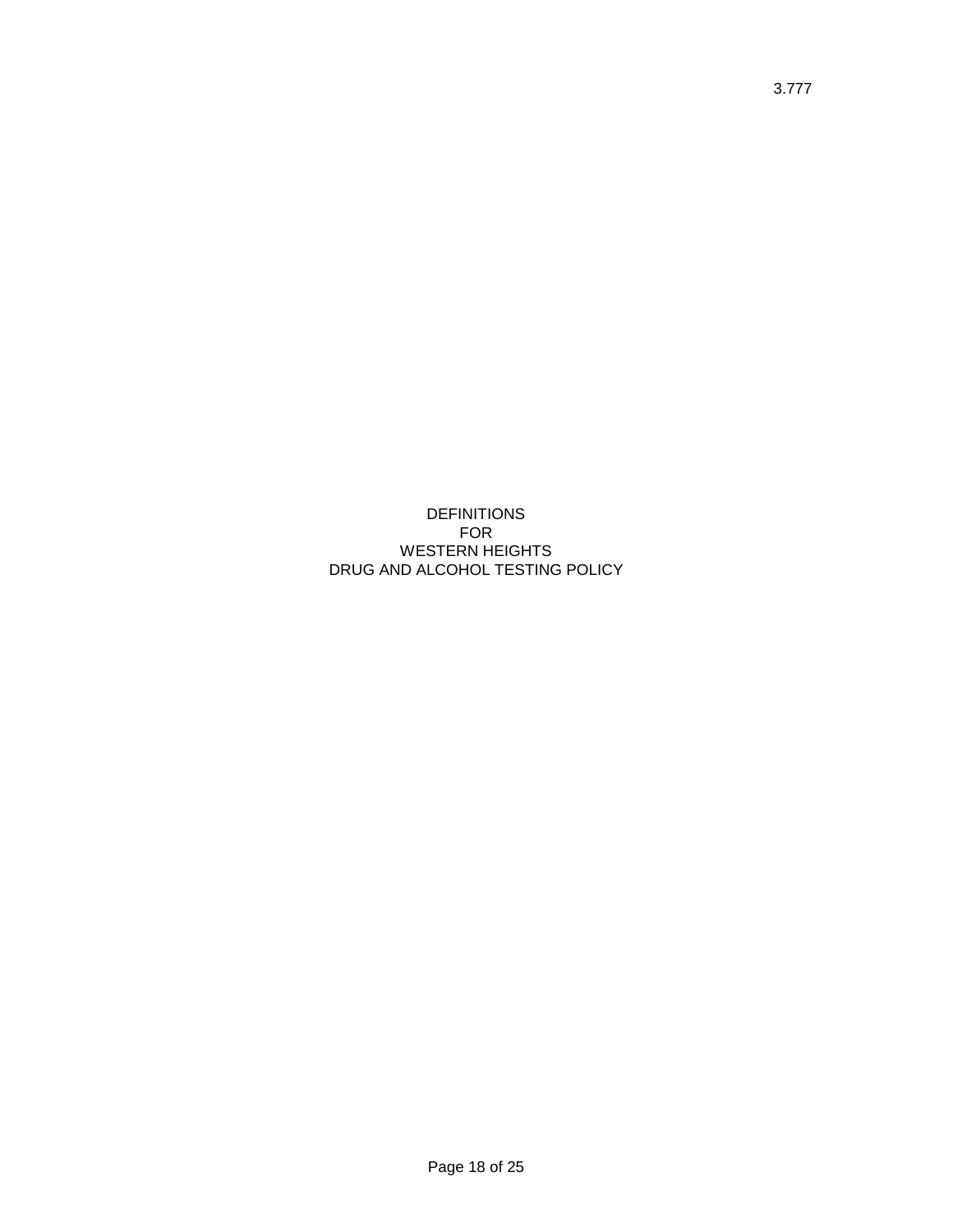DEFINITIONS FOR WESTERN HEIGHTS DRUG AND ALCOHOL TESTING POLICY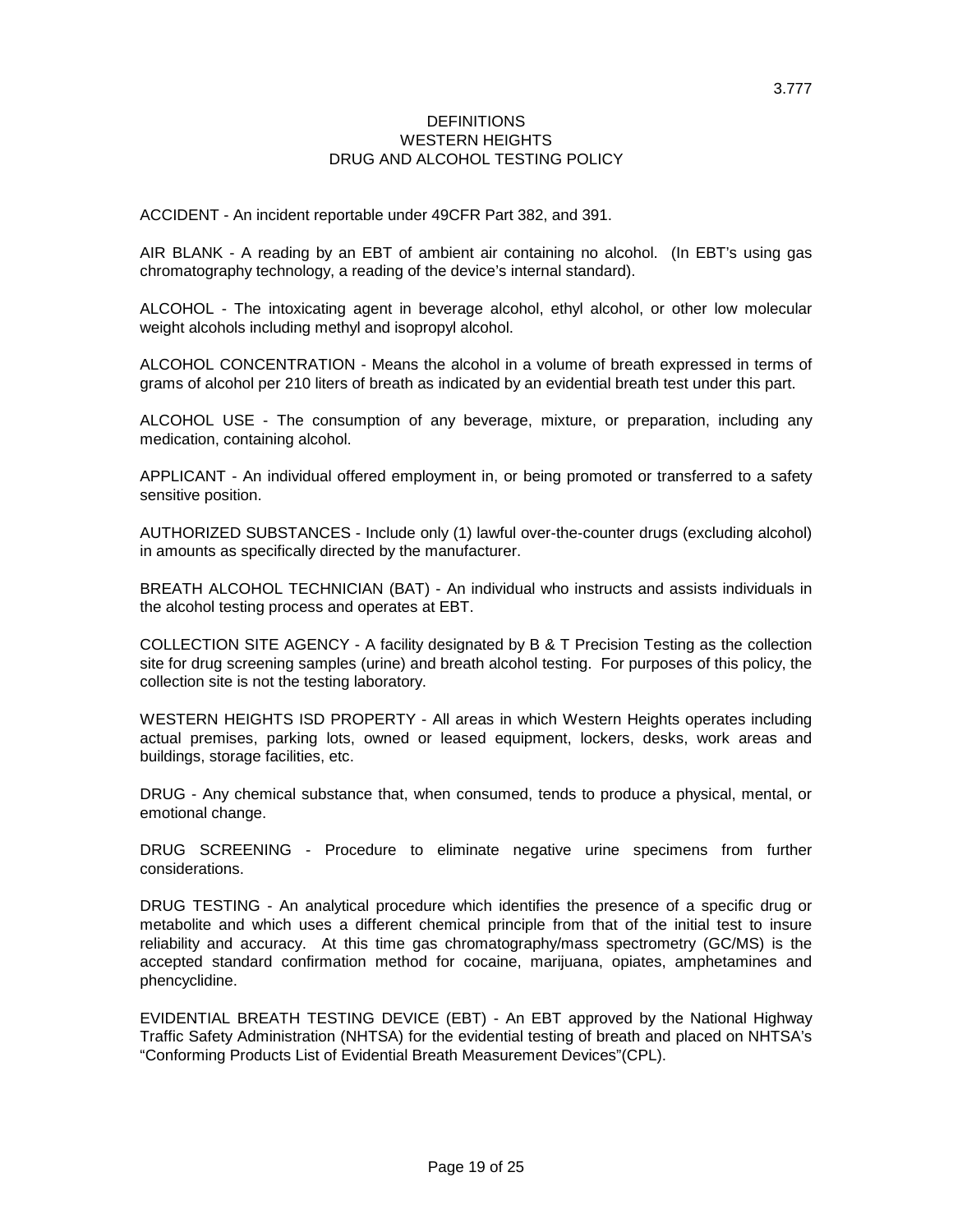### DEFINITIONS WESTERN HEIGHTS DRUG AND ALCOHOL TESTING POLICY

ACCIDENT - An incident reportable under 49CFR Part 382, and 391.

AIR BLANK - A reading by an EBT of ambient air containing no alcohol. (In EBT's using gas chromatography technology, a reading of the device's internal standard).

ALCOHOL - The intoxicating agent in beverage alcohol, ethyl alcohol, or other low molecular weight alcohols including methyl and isopropyl alcohol.

ALCOHOL CONCENTRATION - Means the alcohol in a volume of breath expressed in terms of grams of alcohol per 210 liters of breath as indicated by an evidential breath test under this part.

ALCOHOL USE - The consumption of any beverage, mixture, or preparation, including any medication, containing alcohol.

APPLICANT - An individual offered employment in, or being promoted or transferred to a safety sensitive position.

AUTHORIZED SUBSTANCES - Include only (1) lawful over-the-counter drugs (excluding alcohol) in amounts as specifically directed by the manufacturer.

BREATH ALCOHOL TECHNICIAN (BAT) - An individual who instructs and assists individuals in the alcohol testing process and operates at EBT.

COLLECTION SITE AGENCY - A facility designated by B & T Precision Testing as the collection site for drug screening samples (urine) and breath alcohol testing. For purposes of this policy, the collection site is not the testing laboratory.

WESTERN HEIGHTS ISD PROPERTY - All areas in which Western Heights operates including actual premises, parking lots, owned or leased equipment, lockers, desks, work areas and buildings, storage facilities, etc.

DRUG - Any chemical substance that, when consumed, tends to produce a physical, mental, or emotional change.

DRUG SCREENING - Procedure to eliminate negative urine specimens from further considerations.

DRUG TESTING - An analytical procedure which identifies the presence of a specific drug or metabolite and which uses a different chemical principle from that of the initial test to insure reliability and accuracy. At this time gas chromatography/mass spectrometry (GC/MS) is the accepted standard confirmation method for cocaine, marijuana, opiates, amphetamines and phencyclidine.

EVIDENTIAL BREATH TESTING DEVICE (EBT) - An EBT approved by the National Highway Traffic Safety Administration (NHTSA) for the evidential testing of breath and placed on NHTSA's "Conforming Products List of Evidential Breath Measurement Devices"(CPL).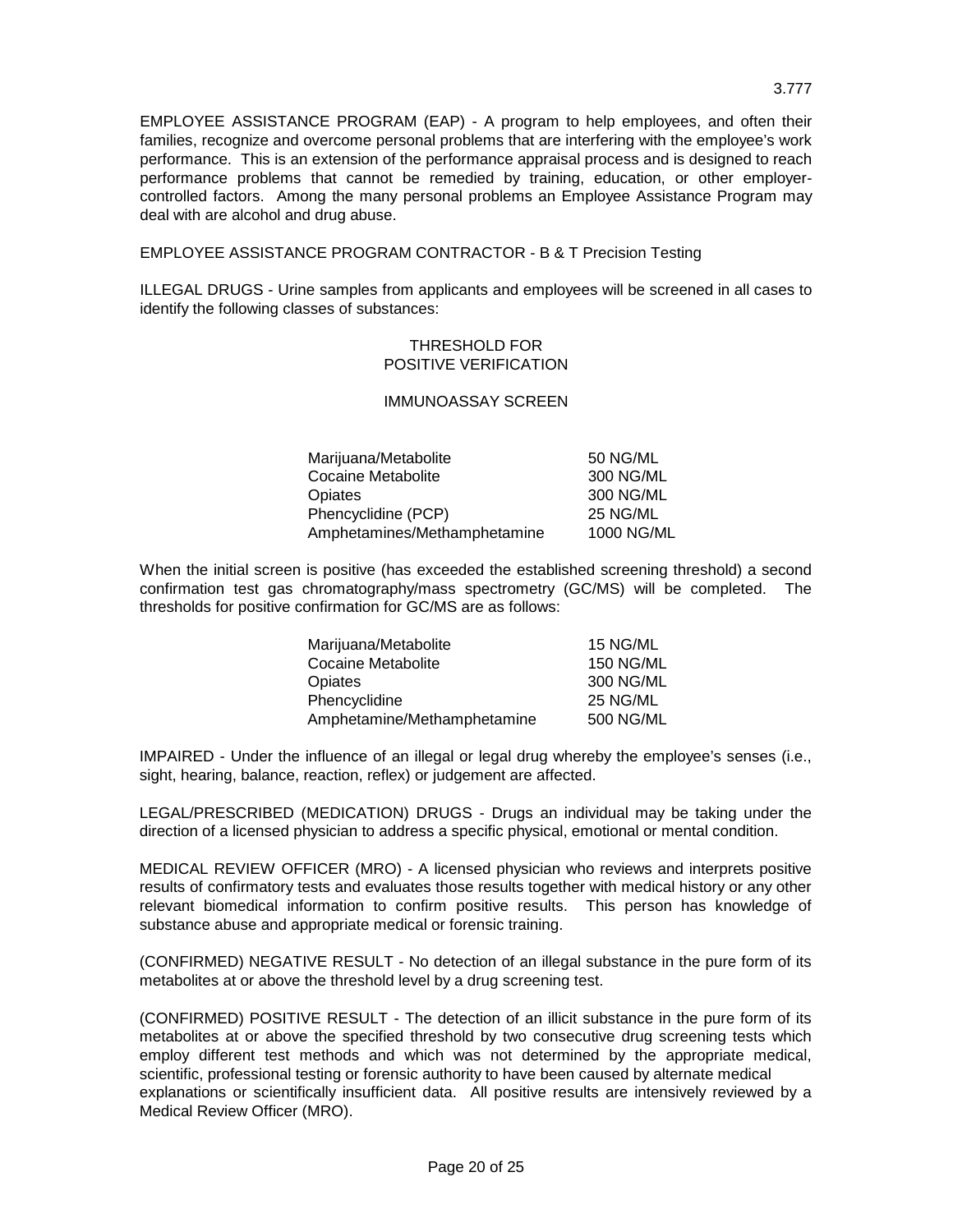EMPLOYEE ASSISTANCE PROGRAM (EAP) - A program to help employees, and often their families, recognize and overcome personal problems that are interfering with the employee's work performance. This is an extension of the performance appraisal process and is designed to reach performance problems that cannot be remedied by training, education, or other employercontrolled factors. Among the many personal problems an Employee Assistance Program may deal with are alcohol and drug abuse.

EMPLOYEE ASSISTANCE PROGRAM CONTRACTOR - B & T Precision Testing

ILLEGAL DRUGS - Urine samples from applicants and employees will be screened in all cases to identify the following classes of substances:

### THRESHOLD FOR POSITIVE VERIFICATION

## IMMUNOASSAY SCREEN

| Marijuana/Metabolite         | 50 NG/ML   |
|------------------------------|------------|
| Cocaine Metabolite           | 300 NG/ML  |
| Opiates                      | 300 NG/ML  |
| Phencyclidine (PCP)          | 25 NG/ML   |
| Amphetamines/Methamphetamine | 1000 NG/ML |

When the initial screen is positive (has exceeded the established screening threshold) a second confirmation test gas chromatography/mass spectrometry (GC/MS) will be completed. The thresholds for positive confirmation for GC/MS are as follows:

| Marijuana/Metabolite        | 15 NG/ML         |
|-----------------------------|------------------|
| Cocaine Metabolite          | <b>150 NG/ML</b> |
| Opiates                     | 300 NG/ML        |
| Phencyclidine               | 25 NG/ML         |
| Amphetamine/Methamphetamine | 500 NG/ML        |

IMPAIRED - Under the influence of an illegal or legal drug whereby the employee's senses (i.e., sight, hearing, balance, reaction, reflex) or judgement are affected.

LEGAL/PRESCRIBED (MEDICATION) DRUGS - Drugs an individual may be taking under the direction of a licensed physician to address a specific physical, emotional or mental condition.

MEDICAL REVIEW OFFICER (MRO) - A licensed physician who reviews and interprets positive results of confirmatory tests and evaluates those results together with medical history or any other relevant biomedical information to confirm positive results. This person has knowledge of substance abuse and appropriate medical or forensic training.

(CONFIRMED) NEGATIVE RESULT - No detection of an illegal substance in the pure form of its metabolites at or above the threshold level by a drug screening test.

(CONFIRMED) POSITIVE RESULT - The detection of an illicit substance in the pure form of its metabolites at or above the specified threshold by two consecutive drug screening tests which employ different test methods and which was not determined by the appropriate medical, scientific, professional testing or forensic authority to have been caused by alternate medical explanations or scientifically insufficient data. All positive results are intensively reviewed by a Medical Review Officer (MRO).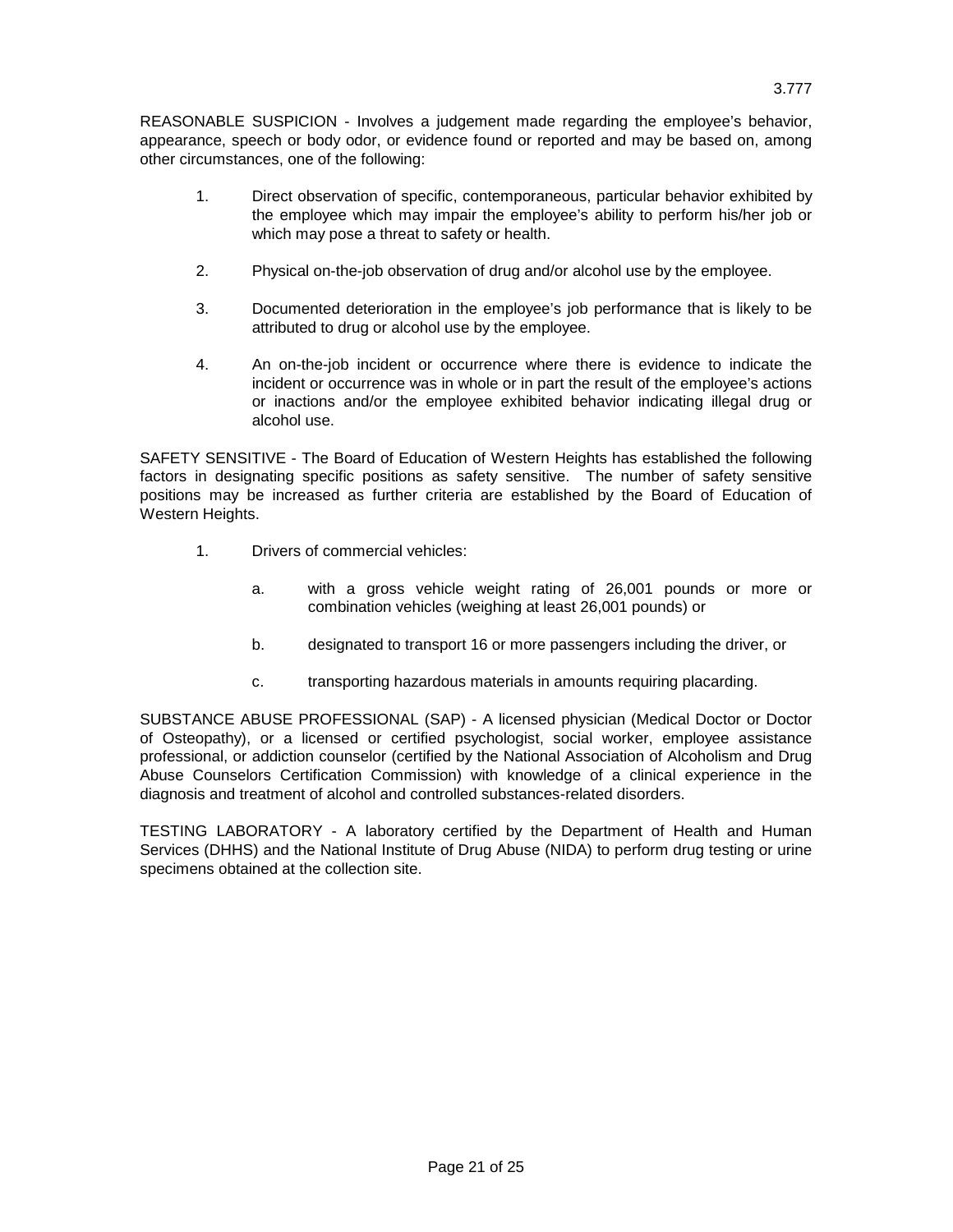REASONABLE SUSPICION - Involves a judgement made regarding the employee's behavior, appearance, speech or body odor, or evidence found or reported and may be based on, among other circumstances, one of the following:

- 1. Direct observation of specific, contemporaneous, particular behavior exhibited by the employee which may impair the employee's ability to perform his/her job or which may pose a threat to safety or health.
- 2. Physical on-the-job observation of drug and/or alcohol use by the employee.
- 3. Documented deterioration in the employee's job performance that is likely to be attributed to drug or alcohol use by the employee.
- 4. An on-the-job incident or occurrence where there is evidence to indicate the incident or occurrence was in whole or in part the result of the employee's actions or inactions and/or the employee exhibited behavior indicating illegal drug or alcohol use.

SAFETY SENSITIVE - The Board of Education of Western Heights has established the following factors in designating specific positions as safety sensitive. The number of safety sensitive positions may be increased as further criteria are established by the Board of Education of Western Heights.

- 1. Drivers of commercial vehicles:
	- a. with a gross vehicle weight rating of 26,001 pounds or more or combination vehicles (weighing at least 26,001 pounds) or
	- b. designated to transport 16 or more passengers including the driver, or
	- c. transporting hazardous materials in amounts requiring placarding.

SUBSTANCE ABUSE PROFESSIONAL (SAP) - A licensed physician (Medical Doctor or Doctor of Osteopathy), or a licensed or certified psychologist, social worker, employee assistance professional, or addiction counselor (certified by the National Association of Alcoholism and Drug Abuse Counselors Certification Commission) with knowledge of a clinical experience in the diagnosis and treatment of alcohol and controlled substances-related disorders.

TESTING LABORATORY - A laboratory certified by the Department of Health and Human Services (DHHS) and the National Institute of Drug Abuse (NIDA) to perform drug testing or urine specimens obtained at the collection site.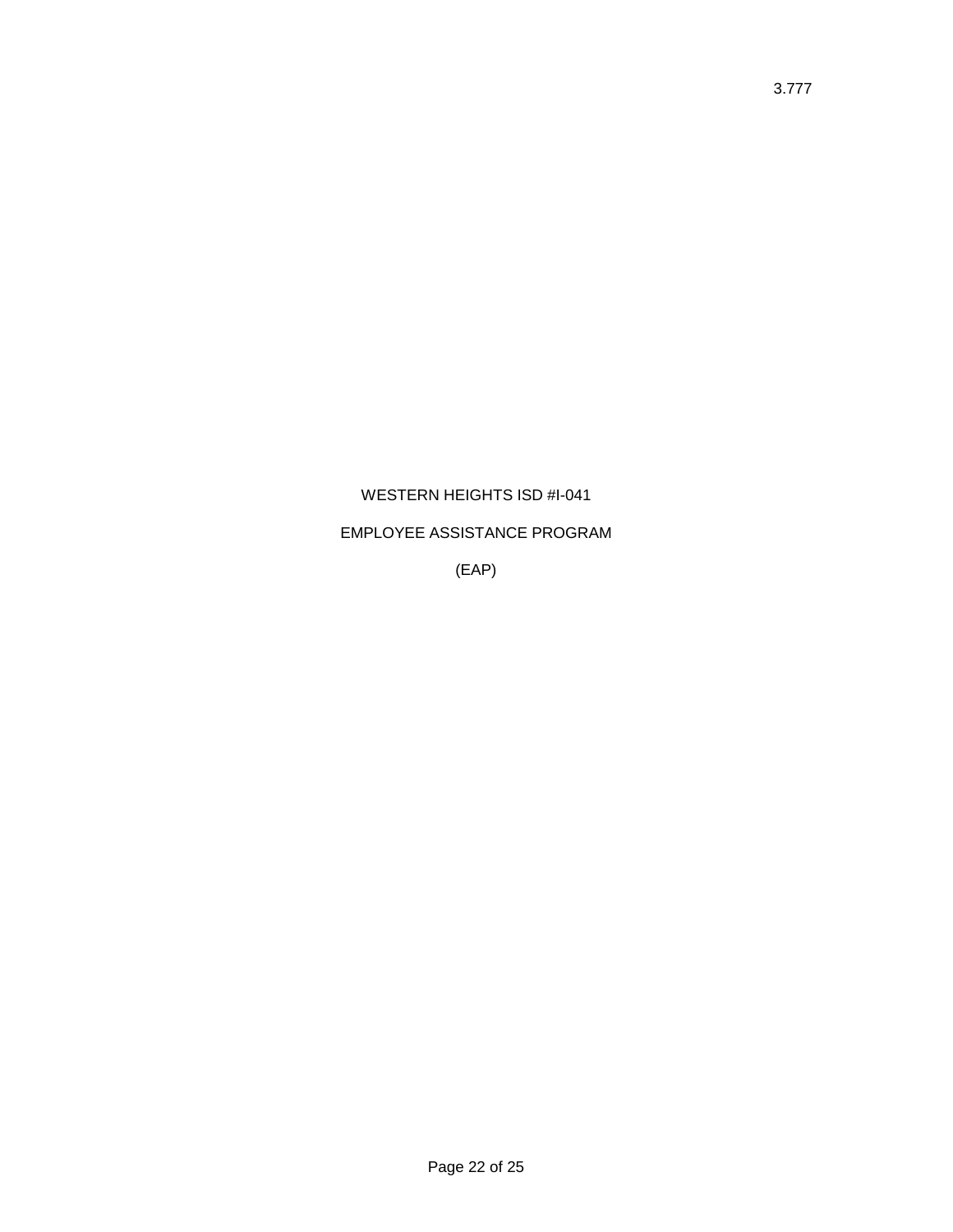# WESTERN HEIGHTS ISD #I-041

## EMPLOYEE ASSISTANCE PROGRAM

(EAP)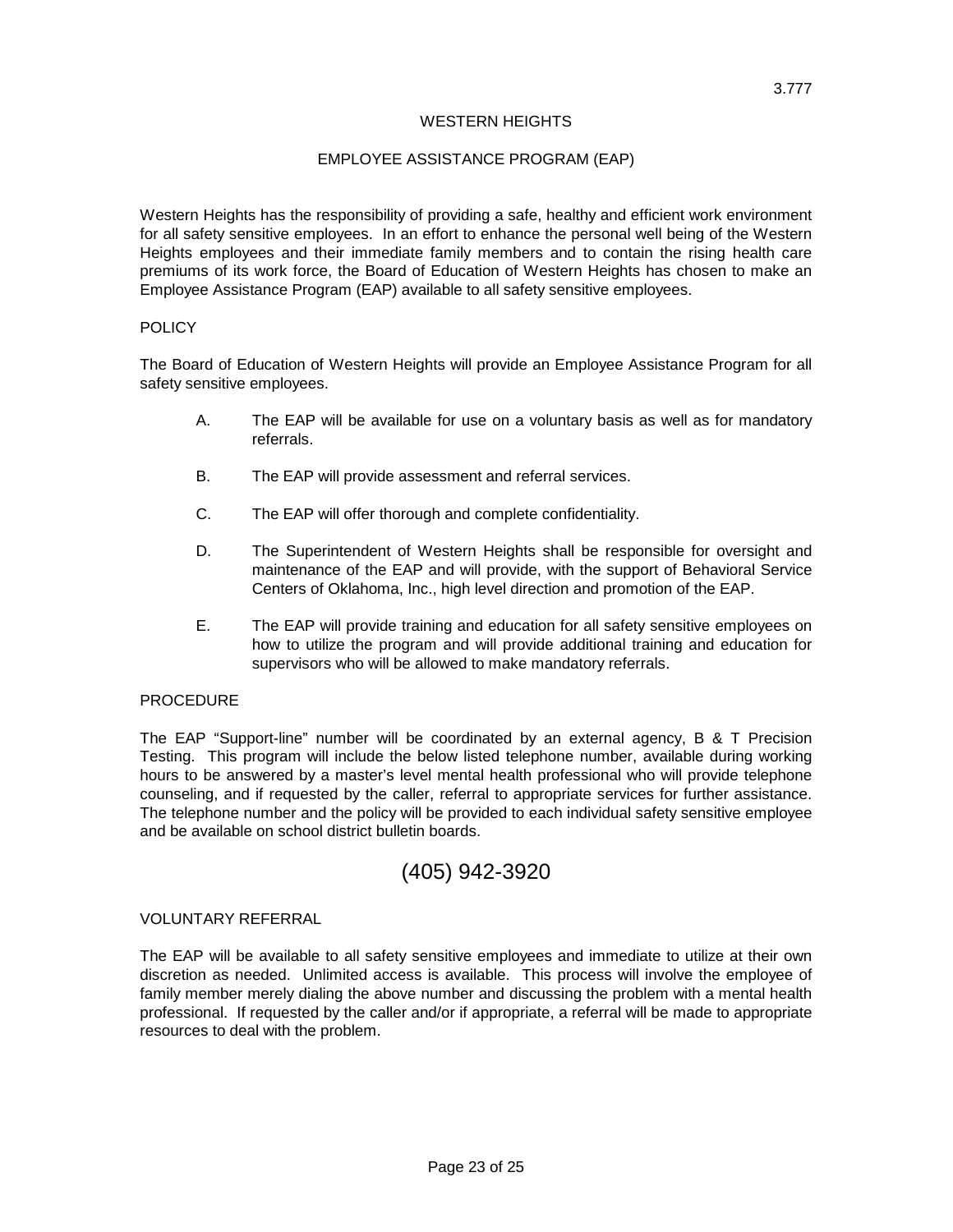### WESTERN HEIGHTS

### EMPLOYEE ASSISTANCE PROGRAM (EAP)

Western Heights has the responsibility of providing a safe, healthy and efficient work environment for all safety sensitive employees. In an effort to enhance the personal well being of the Western Heights employees and their immediate family members and to contain the rising health care premiums of its work force, the Board of Education of Western Heights has chosen to make an Employee Assistance Program (EAP) available to all safety sensitive employees.

#### **POLICY**

The Board of Education of Western Heights will provide an Employee Assistance Program for all safety sensitive employees.

- A. The EAP will be available for use on a voluntary basis as well as for mandatory referrals.
- B. The EAP will provide assessment and referral services.
- C. The EAP will offer thorough and complete confidentiality.
- D. The Superintendent of Western Heights shall be responsible for oversight and maintenance of the EAP and will provide, with the support of Behavioral Service Centers of Oklahoma, Inc., high level direction and promotion of the EAP.
- E. The EAP will provide training and education for all safety sensitive employees on how to utilize the program and will provide additional training and education for supervisors who will be allowed to make mandatory referrals.

### **PROCEDURE**

The EAP "Support-line" number will be coordinated by an external agency, B & T Precision Testing. This program will include the below listed telephone number, available during working hours to be answered by a master's level mental health professional who will provide telephone counseling, and if requested by the caller, referral to appropriate services for further assistance. The telephone number and the policy will be provided to each individual safety sensitive employee and be available on school district bulletin boards.

# (405) 942-3920

## VOLUNTARY REFERRAL

The EAP will be available to all safety sensitive employees and immediate to utilize at their own discretion as needed. Unlimited access is available. This process will involve the employee of family member merely dialing the above number and discussing the problem with a mental health professional. If requested by the caller and/or if appropriate, a referral will be made to appropriate resources to deal with the problem.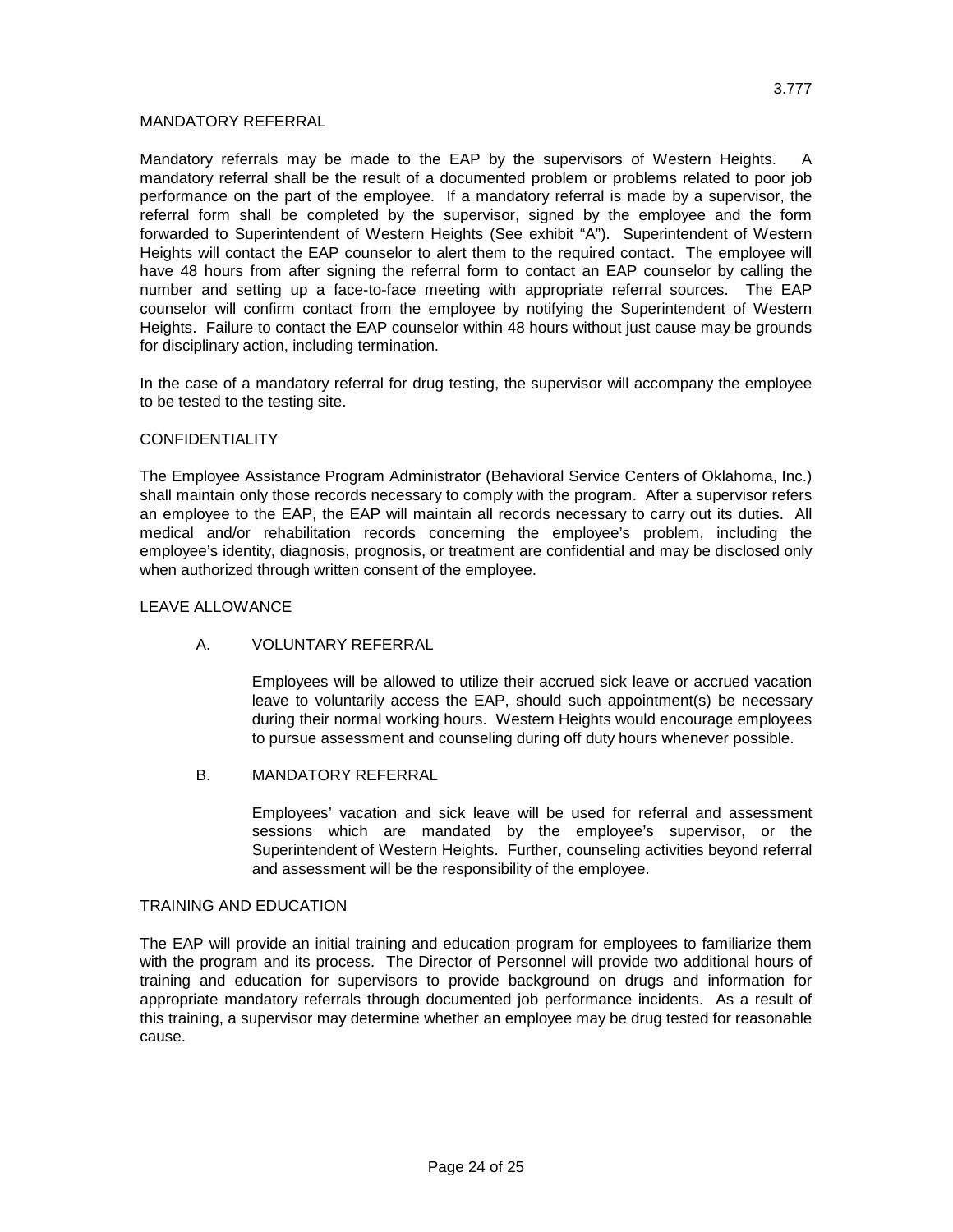### MANDATORY REFERRAL

Mandatory referrals may be made to the EAP by the supervisors of Western Heights. A mandatory referral shall be the result of a documented problem or problems related to poor job performance on the part of the employee. If a mandatory referral is made by a supervisor, the referral form shall be completed by the supervisor, signed by the employee and the form forwarded to Superintendent of Western Heights (See exhibit "A"). Superintendent of Western Heights will contact the EAP counselor to alert them to the required contact. The employee will have 48 hours from after signing the referral form to contact an EAP counselor by calling the number and setting up a face-to-face meeting with appropriate referral sources. The EAP counselor will confirm contact from the employee by notifying the Superintendent of Western Heights. Failure to contact the EAP counselor within 48 hours without just cause may be grounds for disciplinary action, including termination.

In the case of a mandatory referral for drug testing, the supervisor will accompany the employee to be tested to the testing site.

### **CONFIDENTIALITY**

The Employee Assistance Program Administrator (Behavioral Service Centers of Oklahoma, Inc.) shall maintain only those records necessary to comply with the program. After a supervisor refers an employee to the EAP, the EAP will maintain all records necessary to carry out its duties. All medical and/or rehabilitation records concerning the employee's problem, including the employee's identity, diagnosis, prognosis, or treatment are confidential and may be disclosed only when authorized through written consent of the employee.

### LEAVE ALLOWANCE

### A. VOLUNTARY REFERRAL

Employees will be allowed to utilize their accrued sick leave or accrued vacation leave to voluntarily access the EAP, should such appointment(s) be necessary during their normal working hours. Western Heights would encourage employees to pursue assessment and counseling during off duty hours whenever possible.

### B. MANDATORY REFERRAL

Employees' vacation and sick leave will be used for referral and assessment sessions which are mandated by the employee's supervisor, or the Superintendent of Western Heights. Further, counseling activities beyond referral and assessment will be the responsibility of the employee.

#### TRAINING AND EDUCATION

The EAP will provide an initial training and education program for employees to familiarize them with the program and its process. The Director of Personnel will provide two additional hours of training and education for supervisors to provide background on drugs and information for appropriate mandatory referrals through documented job performance incidents. As a result of this training, a supervisor may determine whether an employee may be drug tested for reasonable cause.